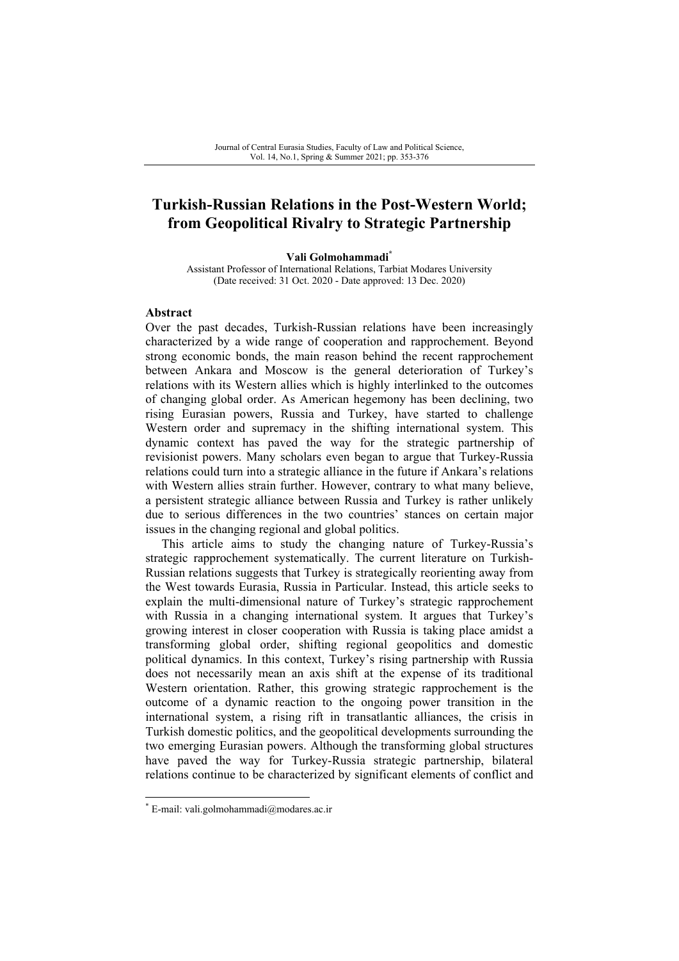## **Turkish-Russian Relations in the Post-Western World; from Geopolitical Rivalry to Strategic Partnership**

#### **Vali Golmohammadi\***

Assistant Professor of International Relations, Tarbiat Modares University (Date received: 31 Oct. 2020 - Date approved: 13 Dec. 2020)

#### **Abstract**

Over the past decades, Turkish-Russian relations have been increasingly characterized by a wide range of cooperation and rapprochement. Beyond strong economic bonds, the main reason behind the recent rapprochement between Ankara and Moscow is the general deterioration of Turkey's relations with its Western allies which is highly interlinked to the outcomes of changing global order. As American hegemony has been declining, two rising Eurasian powers, Russia and Turkey, have started to challenge Western order and supremacy in the shifting international system. This dynamic context has paved the way for the strategic partnership of revisionist powers. Many scholars even began to argue that Turkey-Russia relations could turn into a strategic alliance in the future if Ankara's relations with Western allies strain further. However, contrary to what many believe, a persistent strategic alliance between Russia and Turkey is rather unlikely due to serious differences in the two countries' stances on certain major issues in the changing regional and global politics.

This article aims to study the changing nature of Turkey-Russia's strategic rapprochement systematically. The current literature on Turkish-Russian relations suggests that Turkey is strategically reorienting away from the West towards Eurasia, Russia in Particular. Instead, this article seeks to explain the multi-dimensional nature of Turkey's strategic rapprochement with Russia in a changing international system. It argues that Turkey's growing interest in closer cooperation with Russia is taking place amidst a transforming global order, shifting regional geopolitics and domestic political dynamics. In this context, Turkey's rising partnership with Russia does not necessarily mean an axis shift at the expense of its traditional Western orientation. Rather, this growing strategic rapprochement is the outcome of a dynamic reaction to the ongoing power transition in the international system, a rising rift in transatlantic alliances, the crisis in Turkish domestic politics, and the geopolitical developments surrounding the two emerging Eurasian powers. Although the transforming global structures have paved the way for Turkey-Russia strategic partnership, bilateral relations continue to be characterized by significant elements of conflict and

<sup>\*</sup> E-mail: vali.golmohammadi@modares.ac.ir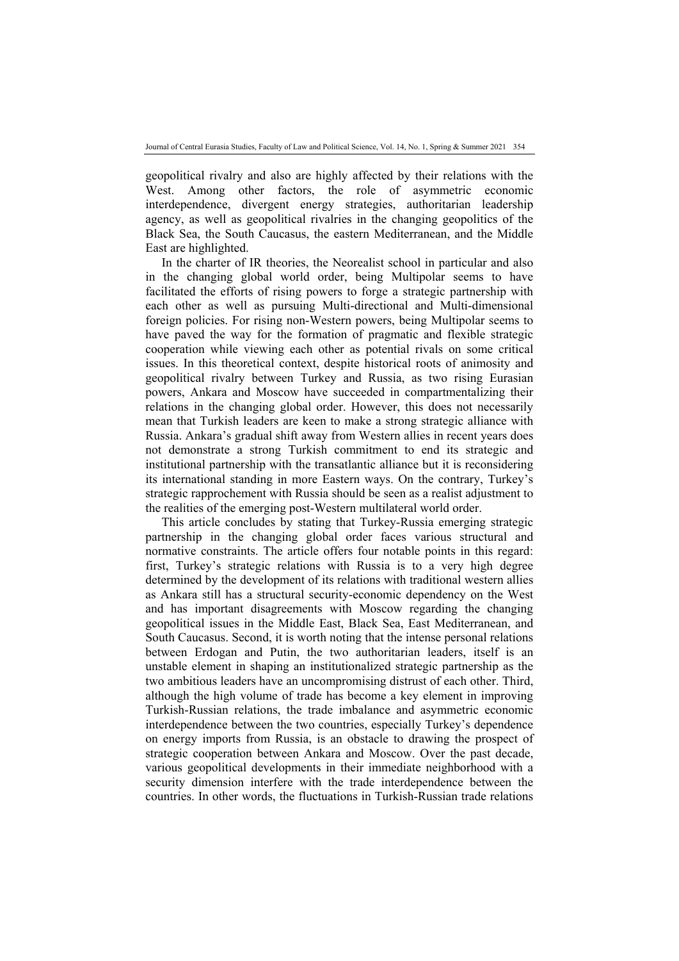geopolitical rivalry and also are highly affected by their relations with the West. Among other factors, the role of asymmetric economic interdependence, divergent energy strategies, authoritarian leadership agency, as well as geopolitical rivalries in the changing geopolitics of the Black Sea, the South Caucasus, the eastern Mediterranean, and the Middle East are highlighted.

In the charter of IR theories, the Neorealist school in particular and also in the changing global world order, being Multipolar seems to have facilitated the efforts of rising powers to forge a strategic partnership with each other as well as pursuing Multi-directional and Multi-dimensional foreign policies. For rising non-Western powers, being Multipolar seems to have paved the way for the formation of pragmatic and flexible strategic cooperation while viewing each other as potential rivals on some critical issues. In this theoretical context, despite historical roots of animosity and geopolitical rivalry between Turkey and Russia, as two rising Eurasian powers, Ankara and Moscow have succeeded in compartmentalizing their relations in the changing global order. However, this does not necessarily mean that Turkish leaders are keen to make a strong strategic alliance with Russia. Ankara's gradual shift away from Western allies in recent years does not demonstrate a strong Turkish commitment to end its strategic and institutional partnership with the transatlantic alliance but it is reconsidering its international standing in more Eastern ways. On the contrary, Turkey's strategic rapprochement with Russia should be seen as a realist adjustment to the realities of the emerging post-Western multilateral world order.

This article concludes by stating that Turkey-Russia emerging strategic partnership in the changing global order faces various structural and normative constraints. The article offers four notable points in this regard: first, Turkey's strategic relations with Russia is to a very high degree determined by the development of its relations with traditional western allies as Ankara still has a structural security-economic dependency on the West and has important disagreements with Moscow regarding the changing geopolitical issues in the Middle East, Black Sea, East Mediterranean, and South Caucasus. Second, it is worth noting that the intense personal relations between Erdogan and Putin, the two authoritarian leaders, itself is an unstable element in shaping an institutionalized strategic partnership as the two ambitious leaders have an uncompromising distrust of each other. Third, although the high volume of trade has become a key element in improving Turkish-Russian relations, the trade imbalance and asymmetric economic interdependence between the two countries, especially Turkey's dependence on energy imports from Russia, is an obstacle to drawing the prospect of strategic cooperation between Ankara and Moscow. Over the past decade, various geopolitical developments in their immediate neighborhood with a security dimension interfere with the trade interdependence between the countries. In other words, the fluctuations in Turkish-Russian trade relations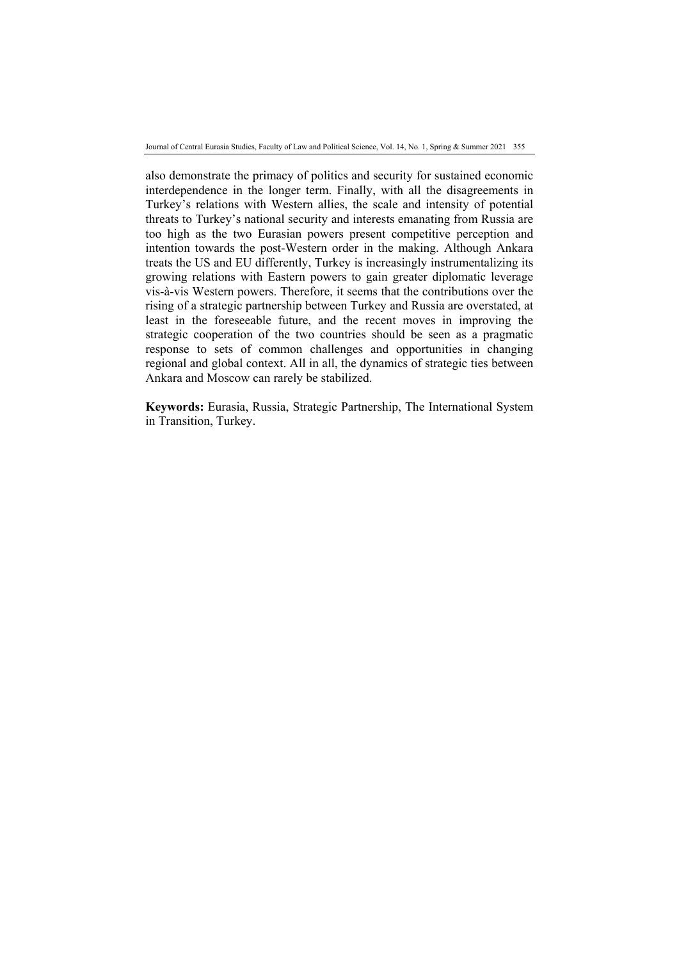Journal of Central Eurasia Studies, Faculty of Law and Political Science, Vol. 14, No. 1, Spring & Summer 2021 355

also demonstrate the primacy of politics and security for sustained economic interdependence in the longer term. Finally, with all the disagreements in Turkey's relations with Western allies, the scale and intensity of potential threats to Turkey's national security and interests emanating from Russia are too high as the two Eurasian powers present competitive perception and intention towards the post-Western order in the making. Although Ankara treats the US and EU differently, Turkey is increasingly instrumentalizing its growing relations with Eastern powers to gain greater diplomatic leverage vis-à-vis Western powers. Therefore, it seems that the contributions over the rising of a strategic partnership between Turkey and Russia are overstated, at least in the foreseeable future, and the recent moves in improving the strategic cooperation of the two countries should be seen as a pragmatic response to sets of common challenges and opportunities in changing regional and global context. All in all, the dynamics of strategic ties between Ankara and Moscow can rarely be stabilized.

**Keywords:** Eurasia, Russia, Strategic Partnership, The International System in Transition, Turkey.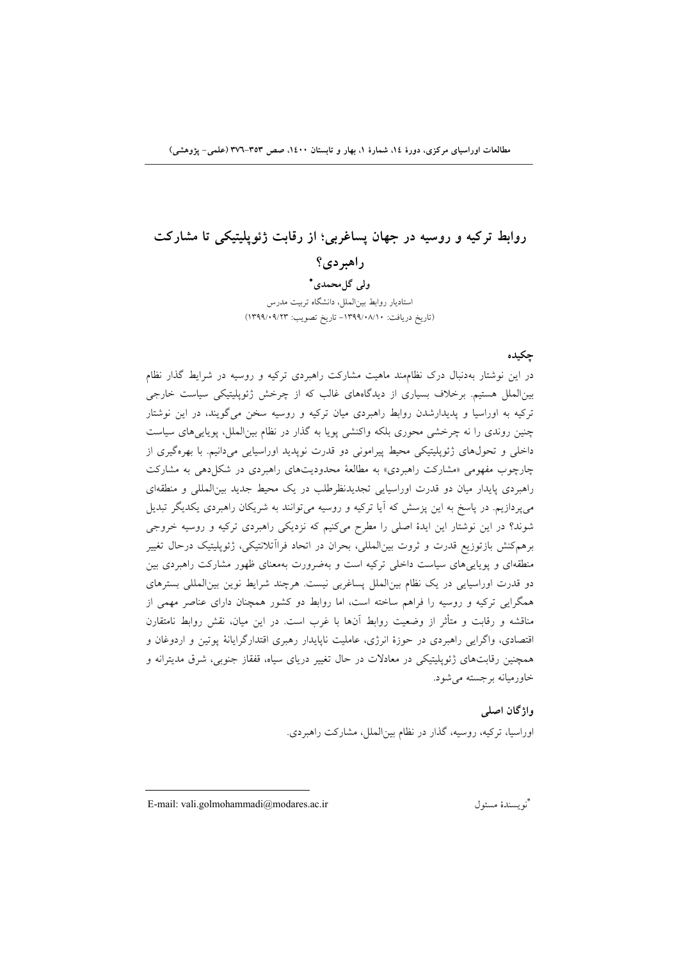مطالعات اوراسیای مرکزی، دورهٔ ۱۶، شمارهٔ ۱، بهار و تابستان ۱٤۰۰، صص ۳۵۳–۳۷٦ (علمی- یژوهشی)

# **روابط تركيه و روسيه در جهان پساغربي؛ از رقابت ژئوپليتيكي تا مشاركت**

**راهبردي؟** 

 **ولي گلمحمدي** استاديار روابط بينالملل، دانشگاه تربيت مدرس (تاريخ دريافت: -1399/08/10 تاريخ تصويب: 1399/09/23)

#### **چكيده**

در اين نوشتار بهدنبال درك نظاممند ماهيت مشاركت راهبردي تركيه و روسيه در شرايط گذار نظام بينالملل هستيم. برخلاف بسياري از ديدگاههاي غالب كه از چرخش ژئوپليتيكي سياست خارجي تركيه به اوراسيا و پديدارشدن روابط راهبردي ميان تركيه و روسيه سخن ميگويند، در اين نوشتار چنين روندي را نه چرخشي محوري بلكه واكنشي پويا به گذار در نظام بينالملل، پوياييهاي سياست داخلي و تحولهاي ژئوپليتيكي محيط پيراموني دو قدرت نوپديد اوراسيايي ميدانيم. با بهرهگيري از چارچوب مفهومي «مشاركت راهبردي» به مطالعة محدوديتهاي راهبردي در شكلدهي به مشاركت راهبردي پايدار ميان دو قدرت اوراسيايي تجديدنظرطلب در يك محيط جديد بينالمللي و منطقهاي ميپردازيم. در پاسخ به اين پزسش كه آيا تركيه و روسيه ميتوانند به شريكان راهبردي يكديگر تبديل شوند؟ در اين نوشتار اين ايدة اصلي را مطرح ميكنيم كه نزديكي راهبردي تركيه و روسيه خروجي برهمكنش بازتوزيع قدرت و ثروت بينالمللي، بحران در اتحاد فراآتلانتيكي، ژئوپليتيك درحال تغيير منطقهاي و پوياييهاي سياست داخلي تركيه است و بهضرورت بهمعناي ظهور مشاركت راهبردي بين دو قدرت اوراسيايي در يك نظام بينالملل پساغربي نيست. هرچند شرايط نوين بينالمللي بسترهاي همگرايي تركيه و روسيه را فراهم ساخته است، اما روابط دو كشور همچنان داراي عناصر مهمي از مناقشه و رقابت و متأثر از وضعيت روابط آنها با غرب است. در اين ميان، نقش روابط نامتقارن اقتصادي، واگرايي راهبردي در حوزة انرژي، عامليت ناپايدار رهبري اقتدارگرايانة پوتين و اردوغان و همچنين رقابتهاي ژئوپليتيكي در معادلات در حال تغيير درياي سياه، قفقاز جنوبي، شرق مديترانه و خاورميانه برجسته ميشود.

> **واژگان اصلي**  اوراسيا، تركيه، روسيه، گذار در نظام بينالملل، مشاركت راهبردي.

E-mail: vali.golmohammadi@modares.ac.ir مسئول نويسندة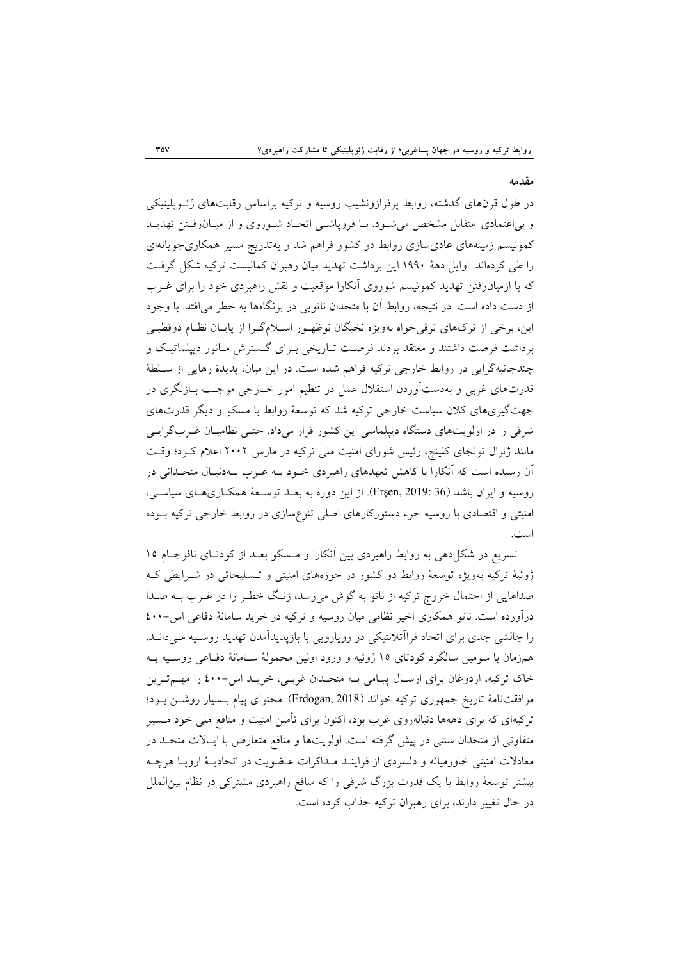#### **مقدمه**

در طول قرنهاي گذشته، روابط پرفرازونشيب روسيه و تركيه براساس رقابتهاي ژئـوپليتيكي و بياعتمادي متقابل مشخص ميشـود. بـا فروپاشـي اتحـاد شـوروي و از ميـانرفـتن تهديـد كمونيسم زمينههاي عاديسازي روابط دو كشور فراهم شد و بهتدريج مسير همكاريجويانهاي را طي كردهاند. اوايل دهة 1990 اين برداشت تهديد ميان رهبران كماليست تركيه شكل گرفـت كه با ازميانرفتن تهديد كمونيسم شوروي آنكارا موقعيت و نقش راهبردي خود را براي غـرب از دست داده است. در نتيجه، روابط آن با متحدان ناتويي در بزنگاهها به خطر ميافتد. با وجود اين، برخي از تركهاي ترقيخواه بهويژه نخبگان نوظهـور اسـلامگـرا از پايـان نظـام دوقطبـي برداشت فرصت داشتند و معتقد بودند فرصـت تـاريخي بـراي گـسترش مـانور ديپلماتيـك و چندجانبهگرايي در روابط خارجي تركيه فراهم شده است. در اين ميان، پديدة رهايي از سـلطة قدرتهاي غربي و بهدستآوردن استقلال عمل در تنظيم امور خـارجي موجـب بـازنگري در جهتگيريهاي كلان سياست خارجي تركيه شد كه توسعة روابط با مسكو و ديگر قدرتهاي شرقي را در اولويتهاي دستگاه ديپلماسي اين كشور قرار ميداد. حتـي نظاميـان غـربگرايـي مانند ژنرال تونجاي كلينچ، رئيس شوراي امنيت ملي تركيه در مارس 2002 اعلام كـرد؛ وقـت آن رسيده است كه آنكارا با كاهش تعهدهاي راهبردي خـود بـه غـرب بـهدنبـال متحـداني در روسيه و ايران باشد (36 2019: ,Erşen(. از اين دوره به بعـد توسـعة همكـاريهـاي سياسـي، امنيتي و اقتصادي با روسيه جزء دستوركارهاي اصلي تنوعسازي در روابط خارجي تركيه بـوده است.

تسريع در شكلدهي به روابط راهبردي بين آنكارا و مـسكو بعـد از كودتـاي نافرجـام 15 ژوئية تركيه بهويژه توسعة روابط دو كشور در حوزههاي امنيتي و تـسليحاتي در شـرايطي كـه صداهايي از احتمال خروج تركيه از ناتو به گوش ميرسد، زنـگ خطـر را در غـرب بـه صـدا درآورده است. ناتو همكاري اخير نظامي ميان روسيه و تركيه در خريد سامانهٔ دفاعي اس-٤٠٠ را چالشي جدي براي اتحاد فراآتلانتيكي در رويارويي با بازپديدآمدن تهديد روسـيه مـيدانـد. همزمان با سومين سالگرد كودتاي 15 ژوئيه و ورود اولين محمولة سـامانة دفـاعي روسـيه بـه خاک ترکيه، اردوغان براي ارسـال پيـامي بـه متحـدان غربـي، خريـد اس-٤٠٠ را مهـمتـرين موافقتنامة تاريخ جمهوري تركيه خواند (2018 ,Erdogan(. محتواي پيام بـسيار روشـن بـود؛ تركيهاي كه براي دههها دنبالهروي غرب بود، اكنون براي تأمين امنيت و منافع ملي خود مـسير متفاوتي از متحدان سنتي در پيش گرفته است. اولويتها و منافع متعارض با ايـالات متحـد در معادلات امنيتي خاورميانه و دلسردي از فراينـد مـذاكرات عـضويت در اتحاديـة اروپـا هرچـه بيشتر توسعة روابط با يك قدرت بزرگ شرقي را كه منافع راهبردي مشتركي در نظام بينالملل در حال تغيير دارند، براي رهبران تركيه جذاب كرده است.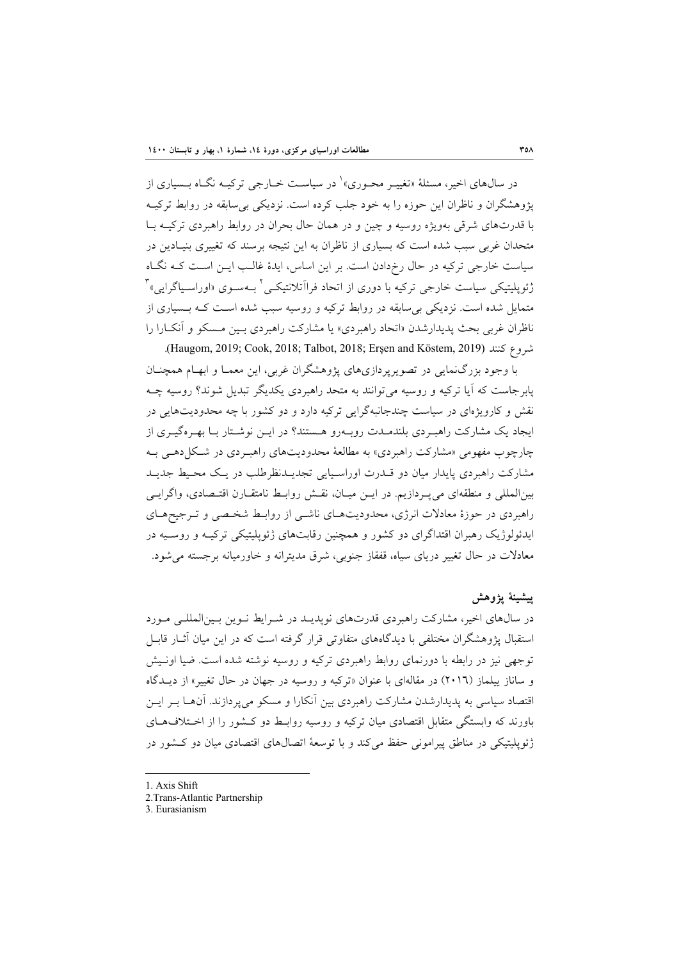در سال0هاي اخير، مسئلهٔ «تغييــر محــوري» ٰ در سياســت خــارجي تركيــه نگــاه بــسياري از پژوهشگران و ناظران اين حوزه را به خود جلب كرده است. نزديكي بيسابقه در روابط تركيـه با قدرتهاي شرقي بهويژه روسيه و چين و در همان حال بحران در روابط راهبردي تركيـه بـا متحدان غربي سبب شده است كه بسياري از ناظران به اين نتيجه برسند كه تغييري بنيـادين در سياست خارجي تركيه در حال رخدادن است. بر اين اساس، ايدة غالـب ايـن اسـت كـه نگـاه ژئوپلیتیکی سیاست خارجی ترکیه با دوری از اتحاد فرااَتلانتیکـی<sup>۲</sup> بــهسـوی «اوراسـياگرايی»<sup>۳</sup> متمايل شده است. نزديكي بيسابقه در روابط تركيه و روسيه سبب شده اسـت كـه بـسياري از ناظران غربي بحث پديدارشدن «اتحاد راهبردي» يا مشاركت راهبردي بـين مـسكو و آنكـارا را .(Haugom, 2019; Cook, 2018; Talbot, 2018; Erşen and Köstem, 2019) كنند شروع

با وجود بزرگنمايي در تصويرپردازيهاي پژوهشگران غربي، اين معمـا و ابهـام همچنـان پابرجاست كه آيا تركيه و روسيه ميتوانند به متحد راهبردي يكديگر تبديل شوند؟ روسيه چـه نقش و كارويژهاي در سياست چندجانبهگرايي تركيه دارد و دو كشور با چه محدوديتهايي در ايجاد يك مشاركت راهبـردي بلندمـدت روبـهرو هـستند؟ در ايـن نوشـتار بـا بهـرهگيـري از چارچوب مفهومي «مشاركت راهبردي» به مطالعة محدوديتهاي راهبـردي در شـكلدهـي بـه مشاركت راهبردي پايدار ميان دو قـدرت اوراسـيايي تجديـدنظرطلب در يـك محـيط جديـد بينالمللي و منطقهاي ميپـردازيم. در ايـن ميـان، نقـش روابـط نامتقـارن اقتـصادي، واگرايـي راهبردي در حوزة معادلات انرژي، محدوديتهـاي ناشـي از روابـط شخـصي و تـرجيحهـاي ايدئولوژيك رهبران اقتداگراي دو كشور و همچنين رقابتهاي ژئوپليتيكي تركيـه و روسـيه در معادلات در حال تغيير درياي سياه، قفقاز جنوبي، شرق مديترانه و خاورميانه برجسته ميشود.

#### **پيشينة پژوهش**

در سالهاي اخير، مشاركت راهبردي قدرتهاي نوپديـد در شـرايط نـوين بـينالمللـي مـورد استقبال پژوهشگران مختلفي با ديدگاههاي متفاوتي قرار گرفته است كه در اين ميان آثـار قابـل توجهي نيز در رابطه با دورنماي روابط راهبردي تركيه و روسيه نوشته شده است. ضيا اونـيش و ساناز ييلماز (2016) در مقالهاي با عنوان «تركيه و روسيه در جهان در حال تغيير» از ديـدگاه اقتصاد سياسي به پديدارشدن مشاركت راهبردي بين آنكارا و مسكو ميپردازند. آنهـا بـر ايـن باورند كه وابستگي متقابل اقتصادي ميان تركيه و روسيه روابـط دو كـشور را از اخـتلافهـاي ژئوپليتيكي در مناطق پيراموني حفظ ميكند و با توسعة اتصالهاي اقتصادي ميان دو كـشور در

- 1. Axis Shift
- 2.Trans-Atlantic Partnership

3. Eurasianism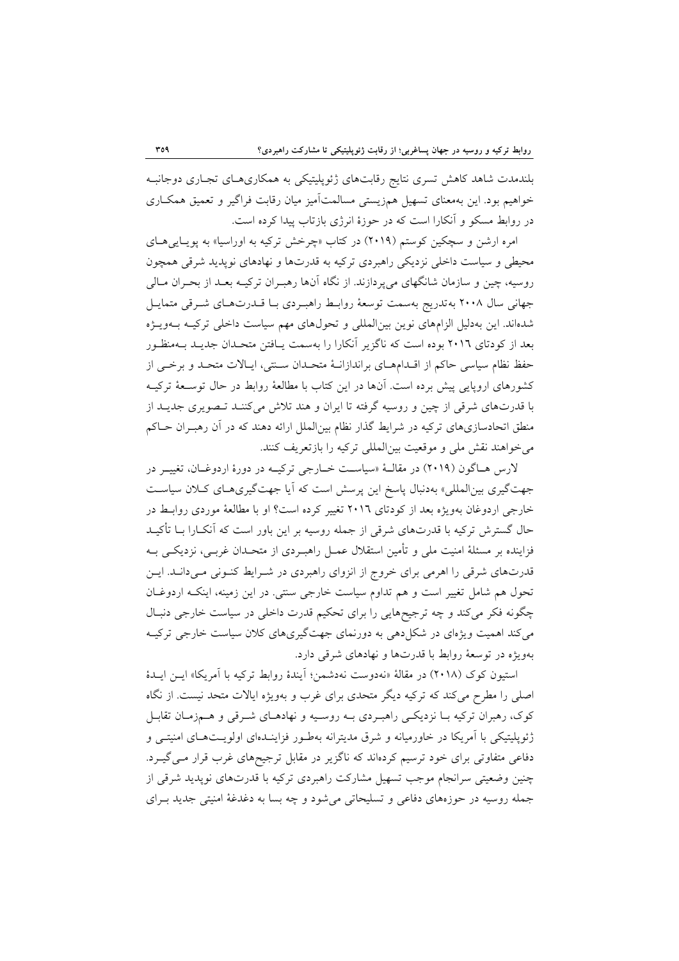بلندمدت شاهد كاهش تسري نتايج رقابتهاي ژئوپليتيكي به همكاريهـاي تجـاري دوجانبـه خواهيم بود. اين بهمعناي تسهيل همزيستي مسالمتآميز ميان رقابت فراگير و تعميق همكـاري در روابط مسكو و آنكارا است كه در حوزة انرژي بازتاب پيدا كرده است.

امره ارشن و سچكين كوستم (2019) در كتاب «چرخش تركيه به اوراسيا» به پويـاييهـاي محيطي و سياست داخلي نزديكي راهبردي تركيه به قدرتها و نهادهاي نوپديد شرقي همچون روسيه، چين و سازمان شانگهاي ميپردازند. از نگاه آنها رهبـران تركيـه بعـد از بحـران مـالي جهاني سال 2008 بهتدريج بهسمت توسعة روابـط راهبـردي بـا قـدرتهـاي شـرقي متمايـل شدهاند. اين بهدليل الزامهاي نوين بينالمللي و تحولهاي مهم سياست داخلي تركيـه بـهويـژه بعد از كودتاي 2016 بوده است كه ناگزير آنكارا را بهسمت يـافتن متحـدان جديـد بـهمنظـور حفظ نظام سياسي حاكم از اقـدامهـاي براندازانـة متحـدان سـنتي، ايـالات متحـد و برخـي از كشورهاي اروپايي پيش برده است. آنها در اين كتاب با مطالعة روابط در حال توسـعة تركيـه با قدرتهاي شرقي از چين و روسيه گرفته تا ايران و هند تلاش ميكننـد تـصويري جديـد از منطق اتحادسازيهاي تركيه در شرايط گذار نظام بينالملل ارائه دهند كه در آن رهبـران حـاكم ميخواهند نقش ملي و موقعيت بينالمللي تركيه را بازتعريف كنند.

لارس هـاگون (2019) در مقالــة «سياســت خــارجي تركيــه در دورة اردوغــان، تغييــر در جهتگيري بينالمللي» بهدنبال پاسخ اين پرسش است كه آيا جهتگيريهـاي كـلان سياسـت خارجي اردوغان بهويژه بعد از كودتاي 2016 تغيير كرده است؟ او با مطالعة موردي روابـط در حال گسترش تركيه با قدرتهاي شرقي از جمله روسيه بر اين باور است كه آنكـارا بـا تأكيـد فزاينده بر مسئلة امنيت ملي و تأمين استقلال عمـل راهبـردي از متحـدان غربـي، نزديكـي بـه قدرتهاي شرقي را اهرمي براي خروج از انزواي راهبردي در شـرايط كنـوني مـيدانـد. ايـن تحول هم شامل تغيير است و هم تداوم سياست خارجي سنتي. در اين زمينه، اينكـه اردوغـان چگونه فكر ميكند و چه ترجيحهايي را براي تحكيم قدرت داخلي در سياست خارجي دنبـال ميكند اهميت ويژهاي در شكلدهي به دورنماي جهتگيريهاي كلان سياست خارجي تركيـه بهويژه در توسعة روابط با قدرتها و نهادهاي شرقي دارد.

استيون كوك (2018) در مقالة «نهدوست نهدشمن؛ آيندة روابط تركيه با آمريكا» ايـن ايـدة اصلي را مطرح ميكند كه تركيه ديگر متحدي براي غرب و بهويژه ايالات متحد نيست. از نگاه كوك، رهبران تركيه بـا نزديكـي راهبـردي بـه روسـيه و نهادهـاي شـرقي و هـمزمـان تقابـل ژئوپليتيكي با آمريكا در خاورميانه و شرق مديترانه بهطـور فزاينـدهاي اولويـتهـاي امنيتـي و دفاعي متفاوتي براي خود ترسيم كردهاند كه ناگزير در مقابل ترجيحهاي غرب قرار مـيگيـرد. چنين وضعيتي سرانجام موجب تسهيل مشاركت راهبردي تركيه با قدرتهاي نوپديد شرقي از جمله روسيه در حوزههاي دفاعي و تسليحاتي ميشود و چه بسا به دغدغة امنيتي جديد بـراي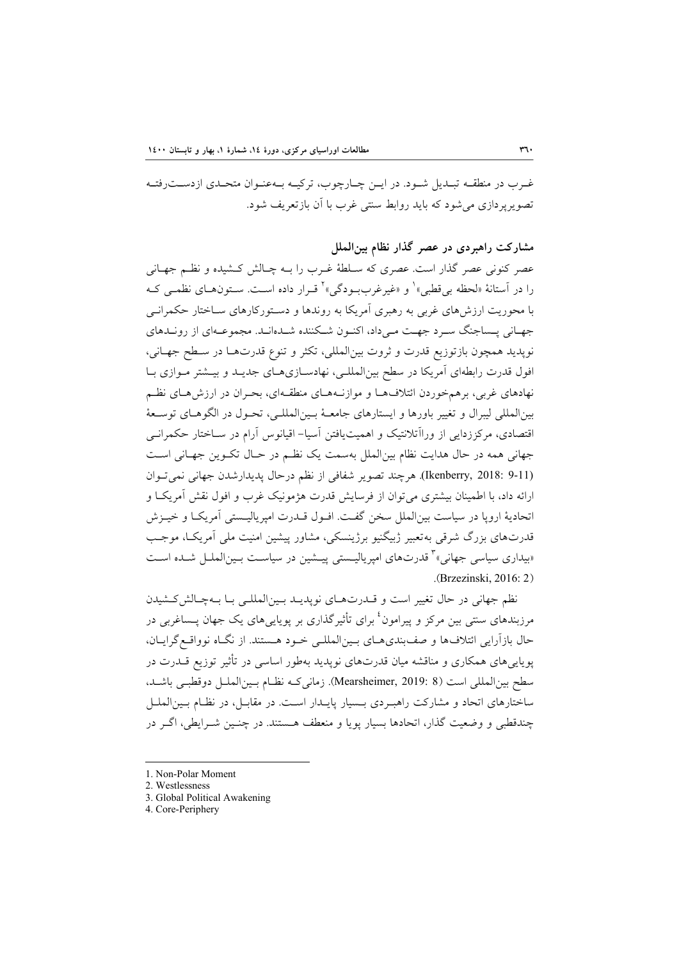غـرب در منطقـه تبـديل شـود. در ايـن چـارچوب، تركيـه بـهعنـوان متحـدي ازدسـترفتـه تصويرپردازي ميشود كه بايد روابط سنتي غرب با آن بازتعريف شود.

**مشاركت راهبردي در عصر گذار نظام بينالملل** 

عصر كنوني عصر گذار است. عصري كه سـلطة غـرب را بـه چـالش كـشيده و نظـم جهـاني را در آستانهٔ «لحظه بي قطبي» ٰ و «غيرغرببـودگي» ْ قـرار داده اسـت. سـتونهـاي نظمـي کـه با محوريت ارزشهاي غربي به رهبري آمريكا به روندها و دسـتوركارهاي سـاختار حكمرانـي جهـاني پـساجنگ سـرد جهـت مـيداد، اكنـون شـكننده شـدهانـد. مجموعـهاي از رونـدهاي نوپديد همچون بازتوزيع قدرت و ثروت بينالمللي، تكثر و تنوع قدرتهـا در سـطح جهـاني، افول قدرت رابطهاي آمريكا در سطح بينالمللـي، نهادسـازيهـاي جديـد و بيـشتر مـوازي بـا نهادهاي غربي، برهمخوردن ائتلافهـا و موازنـههـاي منطقـهاي، بحـران در ارزشهـاي نظـم بينالمللي ليبرال و تغيير باورها و ايستارهاي جامعـة بـينالمللـي، تحـول در الگوهـاي توسـعة اقتصادي، مركززدايي از وراآتلانتيك و اهميتيافتن آسيا- اقيانوس آرام در سـاختار حكمرانـي جهاني همه در حال هدايت نظام بينالملل بهسمت يك نظـم در حـال تكـوين جهـاني اسـت (9-11 2018: ,Ikenberry(. هرچند تصوير شفافي از نظم درحال پديدارشدن جهاني نميتـوان ارائه داد، با اطمينان بيشتري ميتوان از فرسايش قدرت هژمونيك غرب و افول نقش آمريكـا و اتحادية اروپا در سياست بينالملل سخن گفـت. افـول قـدرت امپرياليـستي آمريكـا و خيـزش قدرتهاي بزرگ شرقي بهتعبير ژبيگنيو برژينسكي، مشاور پيشين امنيت ملي آمريكـا، موجـب «بیداری سیاسی جهانی»<sup>۳</sup> قدرتهای امپریالیـستی پیــشین در سیاسـت بـینالملــل شــده اســت .(Brzezinski, 2016: 2)

نظم جهاني در حال تغيير است و قـدرتهـاي نوپديـد بـينالمللـي بـا بـهچـالشكـشيدن مرزبندهای سنتی بین مرکز و پیرامون<sup>؛</sup> برای تأثیرگذاری بر پویایی۵ای یک جهان پــساغربی در حال بازآرايي ائتلافها و صفبنديهـاي بـينالمللـي خـود هـستند. از نگـاه نوواقـعگرايـان، پوياييهاي همكاري و مناقشه ميان قدرتهاي نوپديد بهطور اساسي در تأثير توزيع قـدرت در سطح بينالمللي است (8 2019: ,Mearsheimer(. زمانيكـه نظـام بـينالملـل دوقطبـي باشـد، ساختارهاي اتحاد و مشاركت راهبـردي بـسيار پايـدار اسـت. در مقابـل، در نظـام بـينالملـل چندقطبي و وضعيت گذار، اتحادها بسيار پويا و منعطف هـستند. در چنـين شـرايطي، اگـر در

- 1. Non-Polar Moment
- 2. Westlessness
- 3. Global Political Awakening

4. Core-Periphery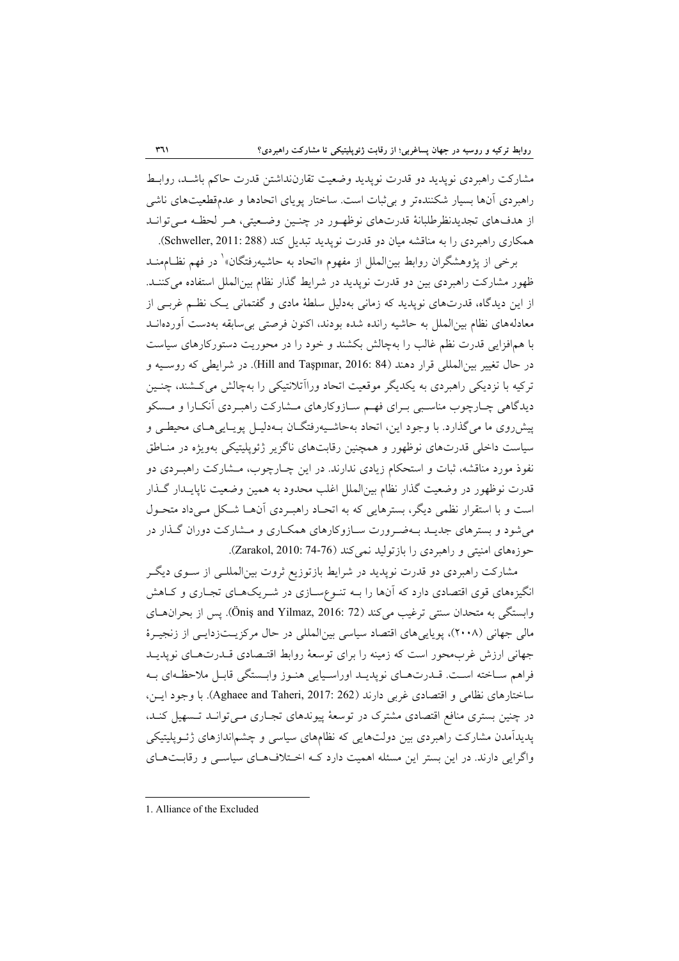مشاركت راهبردي نوپديد دو قدرت نوپديد وضعيت تقارننداشتن قدرت حاكم باشـد، روابـط راهبردي آنها بسيار شكنندهتر و بيثبات است. ساختار پوياي اتحادها و عدمقطعيتهاي ناشي از هدفهاي تجديدنظرطلبانة قدرتهاي نوظهـور در چنـين وضـعيتي، هـر لحظـه مـيتوانـد همكاري راهبردي را به مناقشه ميان دو قدرت نوپديد تبديل كند (288 :Schweller, 2011).

برخي از پژوهشگران روابط بين|لملل از مفهوم «اتحاد به حاشيهرفتگان»<sup>\</sup> در فهم نظـامهنــد ظهور مشاركت راهبردي بين دو قدرت نوپديد در شرايط گذار نظام بينالملل استفاده ميكننـد. از اين ديدگاه، قدرتهاي نوپديد كه زماني بهدليل سلطة مادي و گفتماني يـك نظـم غربـي از معادلههاي نظام بينالملل به حاشيه رانده شده بودند، اكنون فرصتي بيسابقه بهدست آوردهانـد با همافزايي قدرت نظم غالب را بهچالش بكشند و خود را در محوريت دستوركارهاي سياست در حال تغيير بين|لمللي قرار دهند (84 :Hill and Taşpınar, 2016). در شرايطي كه روسـيه و تركيه با نزديكي راهبردي به يكديگر موقعيت اتحاد وراآتلانتيكي را بهچالش ميكـشند، چنـين ديدگاهي چـارچوب مناسـبي بـراي فهـم سـازوكارهاي مـشاركت راهبـردي آنكـارا و مـسكو پيشروي ما ميگذارد. با وجود اين، اتحاد بهحاشـيهرفتگـان بـهدليـل پويـاييهـاي محيطـي و سياست داخلي قدرتهاي نوظهور و همچنين رقابتهاي ناگزير ژئوپليتيكي بهويژه در منـاطق نفوذ مورد مناقشه، ثبات و استحكام زيادي ندارند. در اين چـارچوب، مـشاركت راهبـردي دو قدرت نوظهور در وضعيت گذار نظام بينالملل اغلب محدود به همين وضعيت ناپايـدار گـذار است و با استقرار نظمي ديگر، بسترهايي كه به اتحـاد راهبـردي آنهـا شـكل مـيداد متحـول ميشود و بسترهاي جديـد بـهضـرورت سـازوكارهاي همكـاري و مـشاركت دوران گـذار در حوزههاي امنيتي و راهبردي را بازتوليد نميكند (74-76 2010: ,Zarakol(.

مشاركت راهبردي دو قدرت نوپديد در شرايط بازتوزيع ثروت بينالمللـي از سـوي ديگـر انگيزههاي قوي اقتصادي دارد كه آنها را بـه تنـوعسـازي در شـريكهـاي تجـاري و كـاهش وابستگي به متحدان سنتي ترغيب ميكند (72 .Öniş and Yilmaz, 2016). پس از بحران هاي مالي جهاني (2008)، پوياييهاي اقتصاد سياسي بينالمللي در حال مركزيـتزدايـي از زنجيـرة جهاني ارزش غربمحور است كه زمينه را براي توسعة روابط اقتـصادي قـدرتهـاي نوپديـد فراهم سـاخته اسـت. قـدرتهـاي نوپديـد اوراسـيايي هنـوز وابـستگي قابـل ملاحظـهاي بـه ساختارهاي نظامي و اقتصادي غربي دارند (262 .Aghaee and Taheri, 2017). با وجود ايـن، در چنين بستري منافع اقتصادي مشترك در توسعة پيوندهاي تجـاري مـيتوانـد تـسهيل كنـد، پديدآمدن مشاركت راهبردي بين دولتهايي كه نظامهاي سياسي و چشماندازهاي ژئـوپليتيكي واگرايي دارند. در اين بستر اين مسئله اهميت دارد كـه اخـتلافهـاي سياسـي و رقابـتهـاي

1. Alliance of the Excluded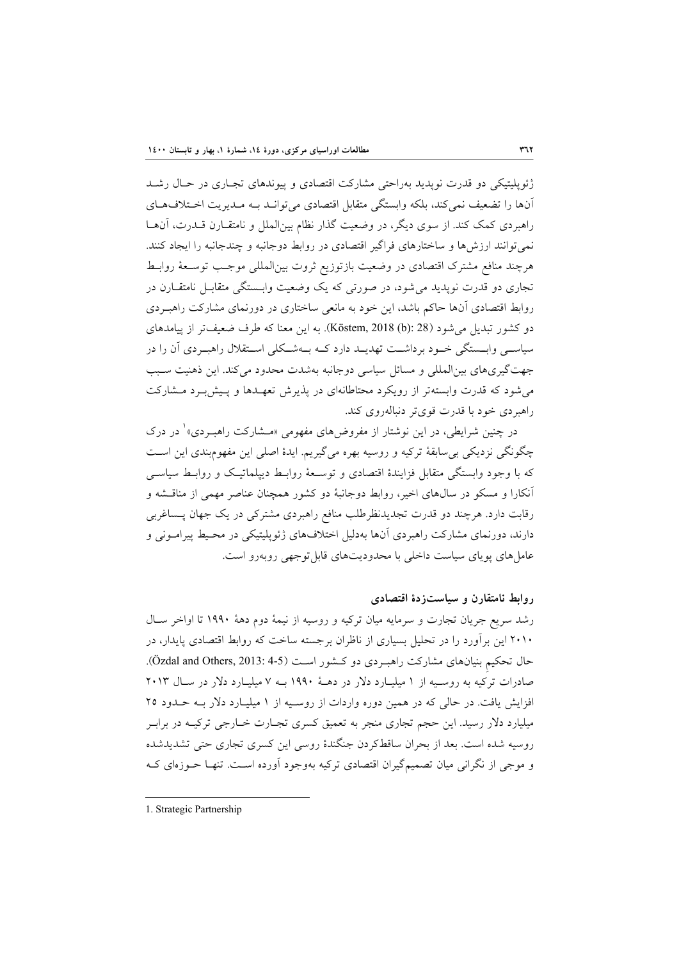ژئوپليتيكي دو قدرت نوپديد بهراحتي مشاركت اقتصادي و پيوندهاي تجـاري در حـال رشـد آنها را تضعيف نميكند، بلكه وابستگي متقابل اقتصادي ميتوانـد بـه مـديريت اخـتلافهـاي راهبردي كمك كند. از سوي ديگر، در وضعيت گذار نظام بينالملل و نامتقـارن قـدرت، آنهـا نميتوانند ارزشها و ساختارهاي فراگير اقتصادي در روابط دوجانبه و چندجانبه را ايجاد كنند. هرچند منافع مشترك اقتصادي در وضعيت بازتوزيع ثروت بينالمللي موجـب توسـعة روابـط تجاري دو قدرت نوپديد ميشود، در صورتي كه يك وضعيت وابـستگي متقابـل نامتقـارن در روابط اقتصادي آنها حاكم باشد، اين خود به مانعي ساختاري در دورنماي مشاركت راهبـردي دو كشور تبديل ميشود (28 :(b (2018 ,Köstem(. به اين معنا كه طرف ضعيفتر از پيامدهاي سياســي وابــستگي خــود برداشــت تهديــد دارد كــه بــهشــكلي اســتقلال راهبــردي آن را در جهتگيريهاي بينالمللي و مسائل سياسي دوجانبه بهشدت محدود ميكند. اين ذهنيت سـبب ميشود كه قدرت وابستهتر از رويكرد محتاطانهاي در پذيرش تعهـدها و پـيشبـرد مـشاركت راهبردي خود با قدرت قويتر دنبالهروي كند.

در چنين شرايطي، در اين نوشتار از مفروضهاي مفهومي «مـشاركت راهبـردي»<sup>۱</sup> در درک چگونگي نزديكي بيسابقة تركيه و روسيه بهره ميگيريم. ايدة اصلي اين مفهومبندي اين اسـت كه با وجود وابستگي متقابل فزايندة اقتصادي و توسـعة روابـط ديپلماتيـك و روابـط سياسـي آنكارا و مسكو در سالهاي اخير، روابط دوجانبة دو كشور همچنان عناصر مهمي از مناقـشه و رقابت دارد. هرچند دو قدرت تجديدنظرطلب منافع راهبردي مشتركي در يك جهان پـساغربي دارند، دورنماي مشاركت راهبردي آنها بهدليل اختلافهاي ژئوپليتيكي در محـيط پيرامـوني و عاملهاي پوياي سياست داخلي با محدوديتهاي قابلتوجهي روبهرو است.

**روابط نامتقارن و سياستزدة اقتصادي**

رشد سريع جريان تجارت و سرمايه ميان تركيه و روسيه از نيمة دوم دهة 1990 تا اواخر سـال 2010 اين برآورد را در تحليل بسياري از ناظران برجسته ساخت كه روابط اقتصادي پايدار، در حال تحكيم بنيانهاي مشاركت راهبـردي دو كـشور اسـت (4-5 :Özdal and Others, 2013). صادرات تركيه به روسـيه از 1 ميليـارد دلار در دهـة 1990 بـه 7 ميليـارد دلار در سـال 2013 افزايش يافت. در حالي كه در همين دوره واردات از روسـيه از 1 ميليـارد دلار بـه حـدود 25 ميليارد دلار رسيد. اين حجم تجاري منجر به تعميق كسري تجـارت خـارجي تركيـه در برابـر روسيه شده است. بعد از بحران ساقطكردن جنگندة روسي اين كسري تجاري حتي تشديدشده و موجي از نگراني ميان تصميمگيران اقتصادي تركيه بهوجود آورده اسـت. تنهـا حـوزهاي كـه

1. Strategic Partnership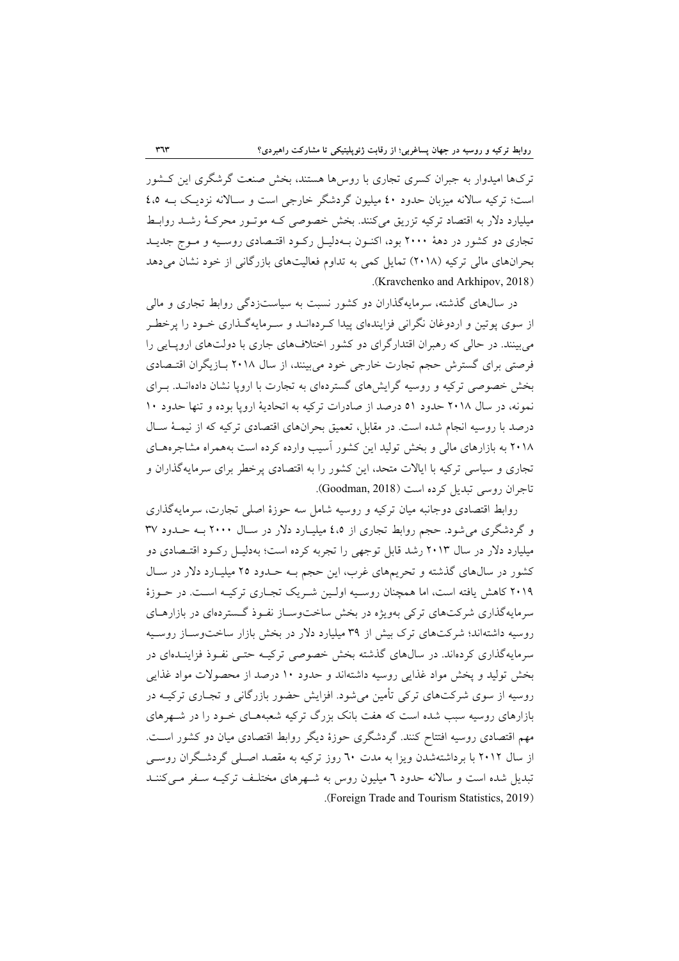تركها اميدوار به جبران كسري تجاري با روسها هستند، بخش صنعت گرشگري اين كـشور است؛ تركيه سالانه ميزبان حدود 40 ميليون گردشگر خارجي است و سـالانه نزديـك بـه 4،5 ميليارد دلار به اقتصاد تركيه تزريق ميكنند. بخش خصوصي كـه موتـور محركـة رشـد روابـط تجاري دو كشور در دهة 2000 بود، اكنـون بـهدليـل ركـود اقتـصادي روسـيه و مـوج جديـد بحرانهاي مالي تركيه (2018) تمايل كمي به تداوم فعاليتهاي بازرگاني از خود نشان ميدهد .(Kravchenko and Arkhipov, 2018)

در سالهاي گذشته، سرمايهگذاران دو كشور نسبت به سياستزدگي روابط تجاري و مالي از سوي پوتين و اردوغان نگراني فزايندهاي پيدا كـردهانـد و سـرمايهگـذاري خـود را پرخطـر ميبينند. در حالي كه رهبران اقتدارگراي دو كشور اختلافهاي جاري با دولتهاي اروپـايي را فرصتي براي گسترش حجم تجارت خارجي خود ميبينند، از سال 2018 بـازيگران اقتـصادي بخش خصوصي تركيه و روسيه گرايشهاي گستردهاي به تجارت با اروپا نشان دادهانـد. بـراي نمونه، در سال 2018 حدود 51 درصد از صادرات تركيه به اتحادية اروپا بوده و تنها حدود 10 درصد با روسيه انجام شده است. در مقابل، تعميق بحرانهاي اقتصادي تركيه كه از نيمـة سـال 2018 به بازارهاي مالي و بخش توليد اين كشور آسيب وارده كرده است بههمراه مشاجرههـاي تجاري و سياسي تركيه با ايالات متحد، اين كشور را به اقتصادي پرخطر براي سرمايهگذاران و تاجران روسي تبديل كرده است (2018 ,Goodman(.

روابط اقتصادي دوجانبه ميان تركيه و روسيه شامل سه حوزة اصلي تجارت، سرمايهگذاري و گردشگري ميشود. حجم روابط تجاري از 4،5 ميليـارد دلار در سـال 2000 بـه حـدود 37 ميليارد دلار در سال 2013 رشد قابل توجهي را تجربه كرده است؛ بهدليـل ركـود اقتـصادي دو كشور در سالهاي گذشته و تحريمهاي غرب، اين حجم بـه حـدود 25 ميليـارد دلار در سـال 2019 كاهش يافته است، اما همچنان روسـيه اولـين شـريك تجـاري تركيـه اسـت. در حـوزة سرمايهگذاري شركتهاي تركي بهويژه در بخش ساختوسـاز نفـوذ گـستردهاي در بازارهـاي روسيه داشتهاند؛ شركتهاي ترك بيش از 39 ميليارد دلار در بخش بازار ساختوسـاز روسـيه سرمايهگذاري كردهاند. در سالهاي گذشته بخش خصوصي تركيـه حتـي نفـوذ فزاينـدهاي در بخش توليد و پخش مواد غذايي روسيه داشتهاند و حدود 10 درصد از محصولات مواد غذايي روسيه از سوي شركتهاي تركي تأمين ميشود. افزايش حضور بازرگاني و تجـاري تركيـه در بازارهاي روسيه سبب شده است كه هفت بانك بزرگ تركيه شعبههـاي خـود را در شـهرهاي مهم اقتصادي روسيه افتتاح كنند. گردشگري حوزة ديگر روابط اقتصادي ميان دو كشور اسـت. از سال 2012 با برداشتهشدن ويزا به مدت 60 روز تركيه به مقصد اصـلي گردشـگران روسـي تبديل شده است و سالانه حدود 6 ميليون روس به شـهرهاي مختلـف تركيـه سـفر مـيكننـد .(Foreign Trade and Tourism Statistics, 2019)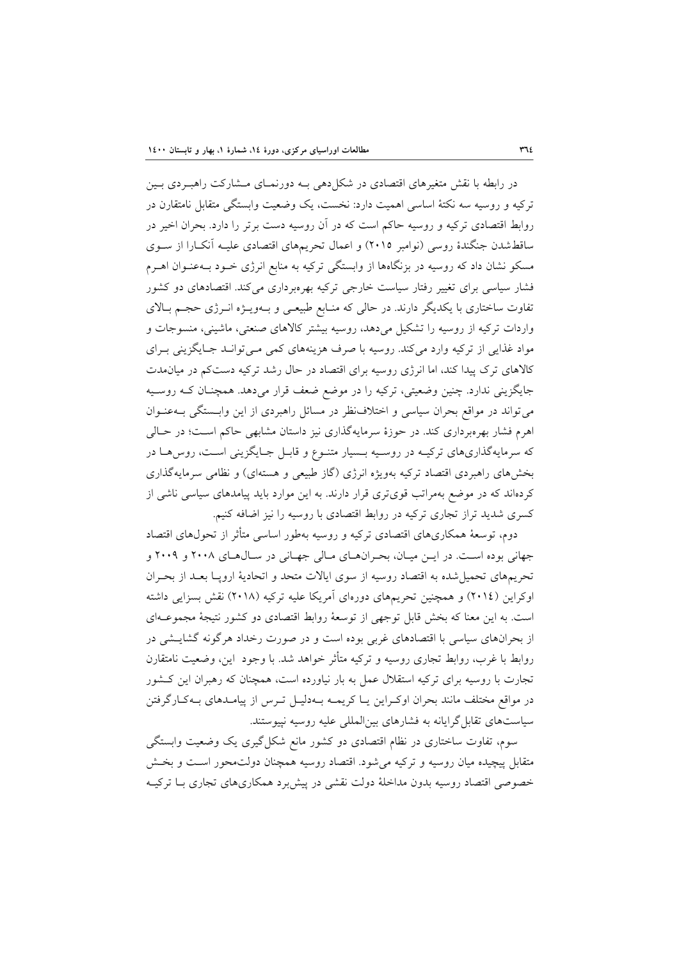در رابطه با نقش متغيرهاي اقتصادي در شكلدهي بـه دورنمـاي مـشاركت راهبـردي بـين تركيه و روسيه سه نكتة اساسي اهميت دارد: نخست، يك وضعيت وابستگي متقابل نامتقارن در روابط اقتصادي تركيه و روسيه حاكم است كه در آن روسيه دست برتر را دارد. بحران اخير در ساقطشدن جنگندة روسي (نوامبر 2015) و اعمال تحريمهاي اقتصادي عليـه آنكـارا از سـوي مسكو نشان داد كه روسيه در بزنگاهها از وابستگي تركيه به منابع انرژي خـود بـهعنـوان اهـرم فشار سياسي براي تغيير رفتار سياست خارجي تركيه بهرهبرداري ميكند. اقتصادهاي دو كشور تفاوت ساختاري با يكديگر دارند. در حالي كه منـابع طبيعـي و بـهويـژه انـرژي حجـم بـالاي واردات تركيه از روسيه را تشكيل ميدهد، روسيه بيشتر كالاهاي صنعتي، ماشيني، منسوجات و مواد غذايي از تركيه وارد ميكند. روسيه با صرف هزينههاي كمي مـيتوانـد جـايگزيني بـراي كالاهاي ترك پيدا كند، اما انرژي روسيه براي اقتصاد در حال رشد تركيه دستكم در ميانمدت جايگزيني ندارد. چنين وضعيتي، تركيه را در موضع ضعف قرار ميدهد. همچنـان كـه روسـيه ميتواند در مواقع بحران سياسي و اختلافنظر در مسائل راهبردي از اين وابـستگي بـهعنـوان اهرم فشار بهرهبرداري كند. در حوزة سرمايهگذاري نيز داستان مشابهي حاكم اسـت؛ در حـالي كه سرمايهگذاريهاي تركيـه در روسـيه بـسيار متنـوع و قابـل جـايگزيني اسـت، روسهـا در بخشهاي راهبردي اقتصاد تركيه بهويژه انرژي (گاز طبيعي و هستهاي) و نظامي سرمايهگذاري كردهاند كه در موضع بهمراتب قويتري قرار دارند. به اين موارد بايد پيامدهاي سياسي ناشي از كسري شديد تراز تجاري تركيه در روابط اقتصادي با روسيه را نيز اضافه كنيم.

دوم، توسعة همكاريهاي اقتصادي تركيه و روسيه بهطور اساسي متأثر از تحولهاي اقتصاد جهاني بوده اسـت. در ايـن ميـان، بحـرانهـاي مـالي جهـاني در سـالهـاي 2008 و 2009 و تحريمهاي تحميلشده به اقتصاد روسيه از سوي ايالات متحد و اتحادية اروپـا بعـد از بحـران اوكراين (2014) و همچنين تحريمهاي دورهاي آمريكا عليه تركيه (2018) نقش بسزايي داشته است. به اين معنا كه بخش قابل توجهي از توسعة روابط اقتصادي دو كشور نتيجة مجموعـهاي از بحرانهاي سياسي با اقتصادهاي غربي بوده است و در صورت رخداد هرگونه گشايـشي در روابط با غرب، روابط تجاري روسيه و تركيه متأثر خواهد شد. با وجود اين، وضعيت نامتقارن تجارت با روسيه براي تركيه استقلال عمل به بار نياورده است، همچنان كه رهبران اين كـشور در مواقع مختلف مانند بحران اوكـراين يـا كريمـه بـهدليـل تـرس از پيامـدهاي بـهكـارگرفتن سياستهاي تقابل گرايانه به فشارهاي بينالمللي عليه روسيه نپيوستند.

سوم، تفاوت ساختاري در نظام اقتصادي دو كشور مانع شكلگيري يك وضعيت وابستگي متقابل پيچيده ميان روسيه و تركيه ميشود. اقتصاد روسيه همچنان دولتمحور اسـت و بخـش خصوصي اقتصاد روسيه بدون مداخلة دولت نقشي در پيشبرد همكاريهاي تجاري بـا تركيـه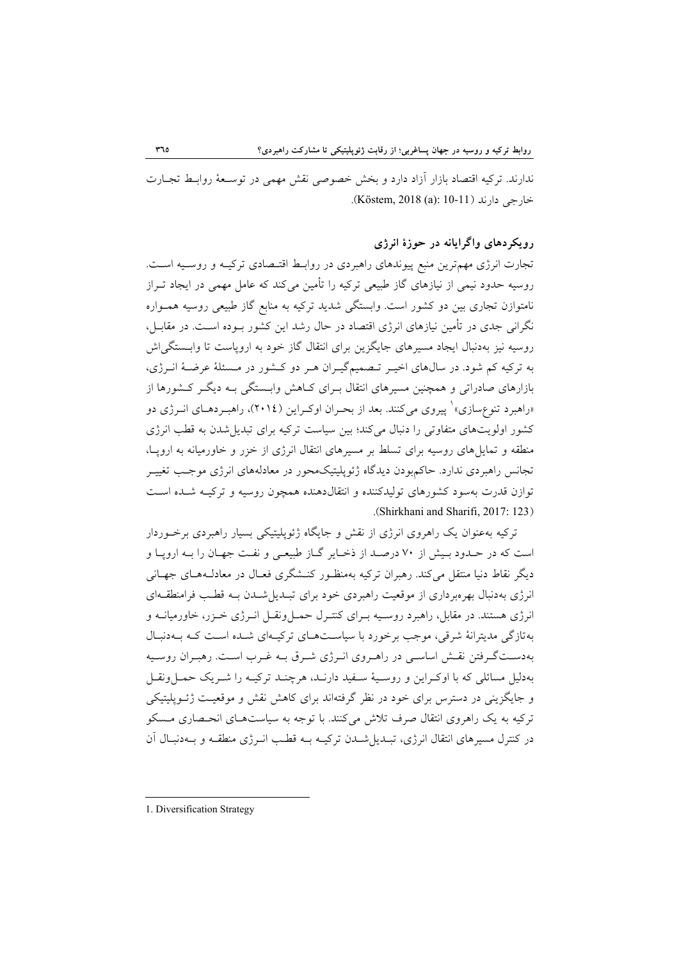ندارند. تركيه اقتصاد بازار آزاد دارد و بخش خصوصي نقش مهمي در توسـعة روابـط تجـارت خارجي دارند (10-11 :(Köstem, 2018 (a)

## **رويكردهاي واگرايانه در حوزة انرژي**

تجارت انرژي مهمترين منبع پيوندهاي راهبردي در روابـط اقتـصادي تركيـه و روسـيه اسـت. روسيه حدود نيمي از نيازهاي گاز طبيعي تركيه را تأمين ميكند كه عامل مهمي در ايجاد تـراز نامتوازن تجاري بين دو كشور است. وابستگي شديد تركيه به منابع گاز طبيعي روسيه همـواره نگراني جدي در تأمين نيازهاي انرژي اقتصاد در حال رشد اين كشور بـوده اسـت. در مقابـل، روسيه نيز بهدنبال ايجاد مسيرهاي جايگزين براي انتقال گاز خود به اروپاست تا وابـستگياش به تركيه كم شود. در سالهاي اخيـر تـصميمگيـران هـر دو كـشور در مـسئلة عرضـة انـرژي، بازارهاي صادراتي و همچنين مسيرهاي انتقال بـراي كـاهش وابـستگي بـه ديگـر كـشورها از «راهبرد تنوعِسازي»` پيروي ميكنند. بعد از بحـران اوكـراين (٢٠١٤)، راهبـردهـاي انــرژي دو كشور اولويتهاي متفاوتي را دنبال ميكند؛ بين سياست تركيه براي تبديلشدن به قطب انرژي منطقه و تمايلهاي روسيه براي تسلط بر مسيرهاي انتقال انرژي از خزر و خاورميانه به اروپـا، تجانس راهبردي ندارد. حاكمبودن ديدگاه ژئوپليتيكمحور در معادلههاي انرژي موجـب تغييـر توازن قدرت بهسود كشورهاي توليدكننده و انتقالدهنده همچون روسيه و تركيـه شـده اسـت .(Shirkhani and Sharifi, 2017: 123)

تركيه بهعنوان يك راهروي انرژي از نقش و جايگاه ژئوپليتيكي بسيار راهبردي برخـوردار است كه در حـدود بـيش از 70 درصـد از ذخـاير گـاز طبيعـي و نفـت جهـان را بـه اروپـا و ديگر نقاط دنيا منتقل ميكند. رهبران تركيه بهمنظـور كنـشگري فعـال در معادلـههـاي جهـاني انرژي بهدنبال بهرهبرداري از موقعيت راهبردي خود براي تبـديلشـدن بـه قطـب فرامنطقـهاي انرژي هستند. در مقابل، راهبرد روسـيه بـراي كنتـرل حمـلونقـل انـرژي خـزر، خاورميانـه و بهتازگي مديترانة شرقي، موجب برخورد با سياسـتهـاي تركيـهاي شـده اسـت كـه بـهدنبـال بهدسـتگـرفتن نقـش اساسـي در راهـروي انـرژي شـرق بـه غـرب اسـت. رهبـران روسـيه بهدليل مسائلي كه با اوكـراين و روسـية سـفيد دارنـد، هرچنـد تركيـه را شـريك حمـلونقـل و جايگزيني در دسترس براي خود در نظر گرفتهاند براي كاهش نقش و موقعيـت ژئـوپليتيكي تركيه به يك راهروي انتقال صرف تلاش ميكنند. با توجه به سياستهـاي انحـصاري مـسكو در كنترل مسيرهاي انتقال انرژي، تبـديلشـدن تركيـه بـه قطـب انـرژي منطقـه و بـهدنبـال آن

1. Diversification Strategy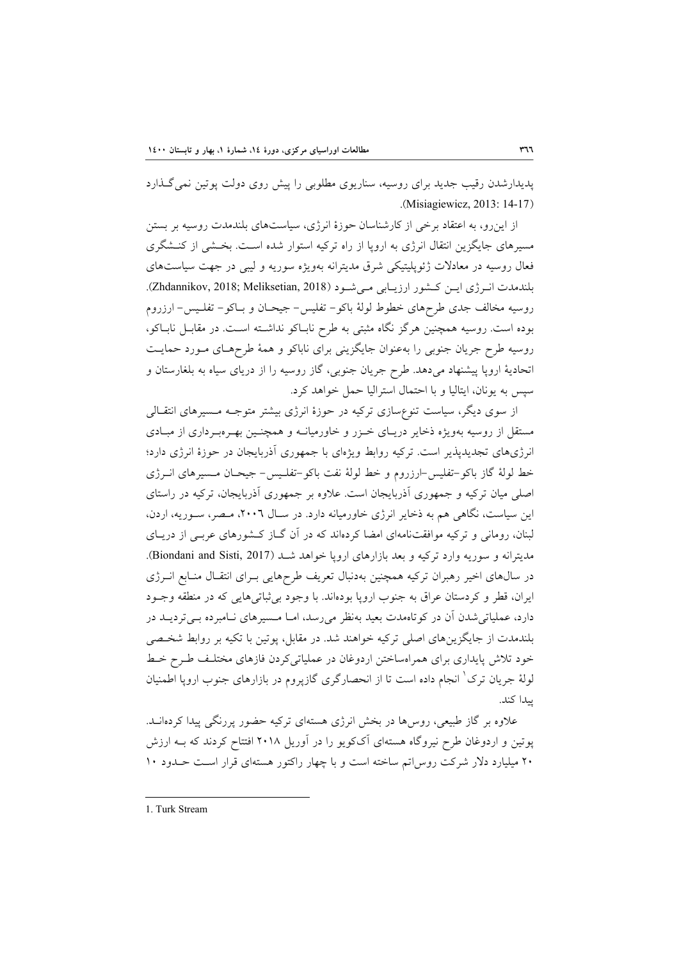پديدارشدن رقيب جديد براي روسيه، سناريوي مطلوبي را پيش روي دولت پوتين نميگـذارد .(Misiagiewicz, 2013: 14-17)

از اينرو، به اعتقاد برخي از كارشناسان حوزة انرژي، سياستهاي بلندمدت روسيه بر بستن مسيرهاي جايگزين انتقال انرژي به اروپا از راه تركيه استوار شده اسـت. بخـشي از كنـشگري فعال روسيه در معادلات ژئوپليتيكي شرق مديترانه بهويژه سوريه و ليبي در جهت سياستهاي بلندمدت انـرژي ايـن كـشور ارزيـابي مـي شـود (2018 ,Zhdannikov, 2018; Meliksetian, 2018). روسيه مخالف جدي طرحهاي خطوط لولة باكو- تفليس- جيحـان و بـاكو- تفلـيس- ارزروم بوده است. روسيه همچنين هرگز نگاه مثبتي به طرح نابـاكو نداشـته اسـت. در مقابـل نابـاكو، روسيه طرح جريان جنوبي را بهعنوان جايگزيني براي ناباكو و همة طرحهـاي مـورد حمايـت اتحادية اروپا پيشنهاد ميدهد. طرح جريان جنوبي، گاز روسيه را از درياي سياه به بلغارستان و سپس به يونان، ايتاليا و با احتمال استراليا حمل خواهد كرد.

از سوي ديگر، سياست تنوعسازي تركيه در حوزة انرژي بيشتر متوجـه مـسيرهاي انتقـالي مستقل از روسيه بهويژه ذخاير دريـاي خـزر و خاورميانـه و همچنـين بهـرهبـرداري از مبـادي انرژيهاي تجديدپذير است. تركيه روابط ويژهاي با جمهوري آذربايجان در حوزة انرژي دارد؛ خط لولة گاز باكو-تفليس-ارزروم و خط لولة نفت باكو-تفلـيس- جيحـان مـسيرهاي انـرژي اصلي ميان تركيه و جمهوري آذربايجان است. علاوه بر جمهوري آذربايجان، تركيه در راستاي اين سياست، نگاهي هم به ذخاير انرژي خاورميانه دارد. در سـال ،2006 مـصر، سـوريه، اردن، لبنان، روماني و تركيه موافقتنامهاي امضا كردهاند كه در آن گـاز كـشورهاي عربـي از دريـاي مديترانه و سوريه وارد تركيه و بعد بازارهاي اروپا خواهد شـد (Biondani and Sisti, 2017). در سالهاي اخير رهبران تركيه همچنين بهدنبال تعريف طرحهايي بـراي انتقـال منـابع انـرژي ايران، قطر و كردستان عراق به جنوب اروپا بودهاند. با وجود بيثباتيهايي كه در منطقه وجـود دارد، عملياتيشدن آن در كوتاهمدت بعيد بهنظر ميرسد، امـا مـسيرهاي نـامبرده بـيترديـد در بلندمدت از جايگزينهاي اصلي تركيه خواهند شد. در مقابل، پوتين با تكيه بر روابط شخـصي خود تلاش پايداري براي همراهساختن اردوغان در عملياتيكردن فازهاي مختلـف طـرح خـط لولهٔ جریان ترک ٰ انجام داده است تا از انحصارگري گازپروم در بازارهاي جنوب اروپا اطمنيان پيدا كند.

علاوه بر گاز طبيعي، روسها در بخش انرژي هستهاي تركيه حضور پررنگي پيدا كردهانـد. پوتين و اردوغان طرح نيروگاه هستهاي آككويو را در آوريل 2018 افتتاح كردند كه بـه ارزش 20 ميليارد دلار شركت روساتم ساخته است و با چهار راكتور هستهاي قرار اسـت حـدود 10

1. Turk Stream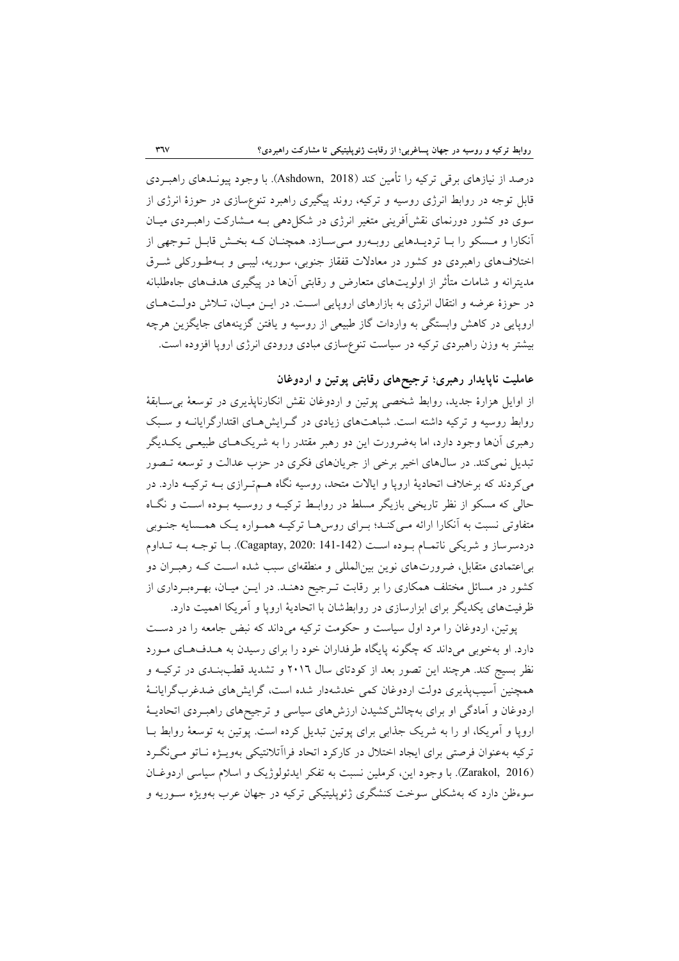درصد از نيازهاي برقي تركيه را تأمين كند (2018 ,Ashdown(. با وجود پيونـدهاي راهبـردي قابل توجه در روابط انرژي روسيه و تركيه، روند پيگيري راهبرد تنوعسازي در حوزة انرژي از سوي دو كشور دورنماي نقشآفريني متغير انرژي در شكلدهي بـه مـشاركت راهبـردي ميـان آنكارا و مـسكو را بـا ترديـدهايي روبـهرو مـيسـازد. همچنـان كـه بخـش قابـل تـوجهي از اختلافهاي راهبردي دو كشور در معادلات قفقاز جنوبي، سوريه، ليبـي و بـهطـوركلي شـرق مديترانه و شامات متأثر از اولويتهاي متعارض و رقابتي آنها در پيگيري هدفهاي جاهطلبانه در حوزة عرضه و انتقال انرژي به بازارهاي اروپايي اسـت. در ايـن ميـان، تـلاش دولـتهـاي اروپايي در كاهش وابستگي به واردات گاز طبيعي از روسيه و يافتن گزينههاي جايگزين هرچه بيشتر به وزن راهبردي تركيه در سياست تنوعسازي مبادي ورودي انرژي اروپا افزوده است.

## **عامليت ناپايدار رهبري؛ ترجيحهاي رقابتي پوتين و اردوغان**

از اوايل هزارة جديد، روابط شخصي پوتين و اردوغان نقش انكارناپذيري در توسعة بيسـابقة روابط روسيه و تركيه داشته است. شباهتهاي زيادي در گـرايشهـاي اقتدارگرايانـه و سـبك رهبري آنها وجود دارد، اما بهضرورت اين دو رهبر مقتدر را به شريكهـاي طبيعـي يكـديگر تبديل نميكند. در سالهاي اخير برخي از جريانهاي فكري در حزب عدالت و توسعه تـصور ميكردند كه برخلاف اتحادية اروپا و ايالات متحد، روسيه نگاه هـمتـرازي بـه تركيـه دارد. در حالي كه مسكو از نظر تاريخي بازيگر مسلط در روابـط تركيـه و روسـيه بـوده اسـت و نگـاه متفاوتي نسبت به آنكارا ارائه مـيكنـد؛ بـراي روسهـا تركيـه همـواره يـك همـسايه جنـوبي دردسرساز و شريكي ناتمـام بـوده اسـت (141-142 2020: ,Cagaptay(. بـا توجـه بـه تـداوم بياعتمادي متقابل، ضرورتهاي نوين بينالمللي و منطقهاي سبب شده اسـت كـه رهبـران دو كشور در مسائل مختلف همكاري را بر رقابت تـرجيح دهنـد. در ايـن ميـان، بهـرهبـرداري از ظرفيتهاي يكديگر براي ابزارسازي در روابطشان با اتحادية اروپا و آمريكا اهميت دارد.

پوتين، اردوغان را مرد اول سياست و حكومت تركيه ميداند كه نبض جامعه را در دسـت دارد. او بهخوبي ميداند كه چگونه پايگاه طرفداران خود را براي رسيدن به هـدفهـاي مـورد نظر بسيج كند. هرچند اين تصور بعد از كودتاي سال 2016 و تشديد قطببنـدي در تركيـه و همچنين آسيبپذيري دولت اردوغان كمي خدشهدار شده است، گرايشهاي ضدغربگرايانـة اردوغان و آمادگي او براي بهچالشكشيدن ارزشهاي سياسي و ترجيحهاي راهبـردي اتحاديـة اروپا و آمريكا، او را به شريك جذابي براي پوتين تبديل كرده است. پوتين به توسعة روابط بـا تركيه بهعنوان فرصتي براي ايجاد اختلال در كاركرد اتحاد فراآتلانتيكي بهويـژه نـاتو مـينگـرد (2016 ,Zarakol(. با وجود اين، كرملين نسبت به تفكر ايدئولوژيك و اسلام سياسي اردوغـان سوءظن دارد كه بهشكلي سوخت كنشگري ژئوپليتيكي تركيه در جهان عرب بهويژه سـوريه و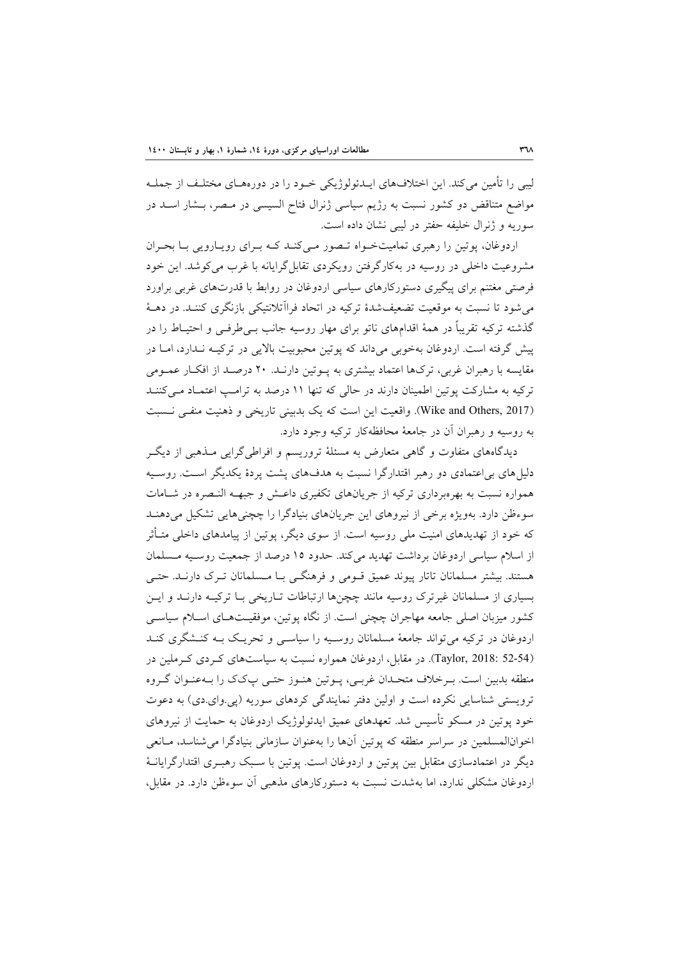ليبي را تأمين ميكند. اين اختلافهاي ايـدئولوژيكي خـود را در دورههـاي مختلـف از جملـه مواضع متناقض دو كشور نسبت به رژيم سياسي ژنرال فتاح السيسي در مـصر، بـشار اسـد در سوريه و ژنرال خليفه حفتر در ليبي نشان داده است.

اردوغان، پوتين را رهبري تماميتخـواه تـصور مـيكنـد كـه بـراي رويـارويي بـا بحـران مشروعيت داخلي در روسيه در بهكارگرفتن رويكردي تقابلگرايانه با غرب ميكوشد. اين خود فرصتي مغتنم براي پيگيري دستوركارهاي سياسي اردوغان در روابط با قدرتهاي غربي براورد ميشود تا نسبت به موقعيت تضعيفشدة تركيه در اتحاد فراآتلانتيكي بازنگري كننـد. در دهـة گذشته تركيه تقريباً در همة اقدامهاي ناتو براي مهار روسيه جانب بـيطرفـي و احتيـاط را در پيش گرفته است. اردوغان بهخوبي ميداند كه پوتين محبوبيت بالايي در تركيـه نـدارد، امـا در مقايسه با رهبران غربي، تركها اعتماد بيشتري به پـوتين دارنـد. 20 درصـد از افكـار عمـومي تركيه به مشاركت پوتين اطمينان دارند در حالي كه تنها 11 درصد به ترامـپ اعتمـاد مـيكننـد (Wike and Others, 2017). واقعيت اين است كه يك بدبيني تاريخي و ذهنيت منفـي نـسبت به روسيه و رهبران آن در جامعة محافظهكار تركيه وجود دارد.

ديدگاههاي متفاوت و گاهي متعارض به مسئلة تروريسم و افراطيگرايي مـذهبي از ديگـر دليلهاي بياعتمادي دو رهبر اقتدارگرا نسبت به هدفهاي پشت پردة يكديگر اسـت. روسـيه همواره نسبت به بهرهبرداري تركيه از جريانهاي تكفيري داعـش و جبهـه النـصره در شـامات سوءظن دارد. بهويژه برخي از نيروهاي اين جريانهاي بنيادگرا را چچنيهايي تشكيل ميدهنـد كه خود از تهديدهاي امنيت ملي روسيه است. از سوي ديگر، پوتين از پيامدهاي داخلي متـأثر از اسلام سياسي اردوغان برداشت تهديد ميكند. حدود 15 درصد از جمعيت روسـيه مـسلمان هستند. بيشتر مسلمانان تاتار پيوند عميق قـومي و فرهنگـي بـا مـسلمانان تـرك دارنـد. حتـي بسياري از مسلمانان غيرترك روسيه مانند چچنها ارتباطات تـاريخي بـا تركيـه دارنـد و ايـن كشور ميزبان اصلي جامعه مهاجران چچني است. از نگاه پوتين، موفقيـتهـاي اسـلام سياسـي اردوغان در تركيه ميتواند جامعة مسلمانان روسـيه را سياسـي و تحريـك بـه كنـشگري كنـد (52-54 2018: ,Taylor(. در مقابل، اردوغان همواره نسبت به سياستهاي كـردي كـرملين در منطقه بدبين است. بـرخلاف متحـدان غربـي، پـوتين هنـوز حتـي پكك را بـهعنـوان گـروه ترويستي شناسايي نكرده است و اولين دفتر نمايندگي كردهاي سوريه (پي.واي.دي) به دعوت خود پوتين در مسكو تأسيس شد. تعهدهاي عميق ايدئولوژيك اردوغان به حمايت از نيروهاي اخوانالمسلمين در سراسر منطقه كه پوتين آنها را بهعنوان سازماني بنيادگرا ميشناسد، مـانعي ديگر در اعتمادسازي متقابل بين پوتين و اردوغان است. پوتين با سـبك رهبـري اقتدارگرايانـة اردوغان مشكلي ندارد، اما بهشدت نسبت به دستوركارهاي مذهبي آن سوءظن دارد. در مقابل،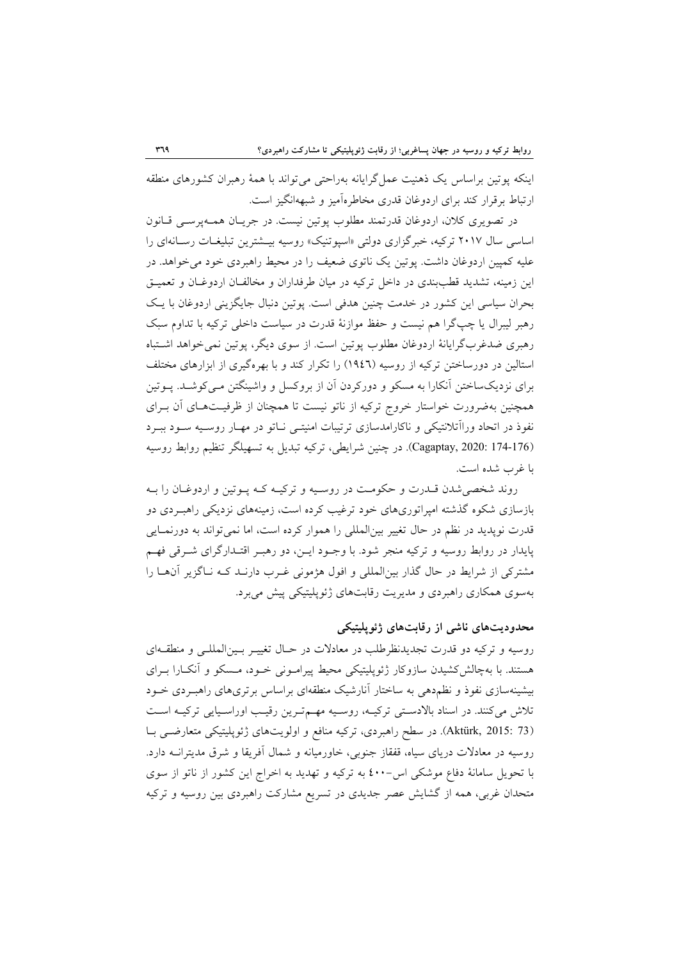اينكه پوتين براساس يك ذهنيت عملگرايانه بهراحتي ميتواند با همة رهبران كشورهاي منطقه ارتباط برقرار كند براي اردوغان قدري مخاطرهآميز و شبههانگيز است.

در تصويري كلان، اردوغان قدرتمند مطلوب پوتين نيست. در جريـان همـهپرسـي قـانون اساسي سال 2017 تركيه، خبرگزاري دولتي «اسپوتنيك» روسيه بيـشترين تبليغـات رسـانهاي را عليه كمپين اردوغان داشت. پوتين يك ناتوي ضعيف را در محيط راهبردي خود ميخواهد. در اين زمينه، تشديد قطببندي در داخل تركيه در ميان طرفداران و مخالفـان اردوغـان و تعميـق بحران سياسي اين كشور در خدمت چنين هدفي است. پوتين دنبال جايگزيني اردوغان با يـك رهبر ليبرال يا چپگرا هم نيست و حفظ موازنة قدرت در سياست داخلي تركيه با تداوم سبك رهبري ضدغربگرايانة اردوغان مطلوب پوتين است. از سوي ديگر، پوتين نميخواهد اشـتباه استالين در دورساختن تركيه از روسيه (1946) را تكرار كند و با بهرهگيري از ابزارهاي مختلف براي نزديكساختن آنكارا به مسكو و دوركردن آن از بروكسل و واشينگتن مـيكوشـد. پـوتين همچنين بهضرورت خواستار خروج تركيه از ناتو نيست تا همچنان از ظرفيـتهـاي آن بـراي نفوذ در اتحاد وراآتلانتيكي و ناكارامدسازي ترتيبات امنيتـي نـاتو در مهـار روسـيه سـود ببـرد (174-176 2020: ,Cagaptay(. در چنين شرايطي، تركيه تبديل به تسهيلگر تنظيم روابط روسيه با غرب شده است.

روند شخصيشدن قـدرت و حكومـت در روسـيه و تركيـه كـه پـوتين و اردوغـان را بـه بازسازي شكوه گذشته امپراتوريهاي خود ترغيب كرده است، زمينههاي نزديكي راهبـردي دو قدرت نوپديد در نظم در حال تغيير بينالمللي را هموار كرده است، اما نميتواند به دورنمـايي پايدار در روابط روسيه و تركيه منجر شود. با وجـود ايـن، دو رهبـر اقتـدارگراي شـرقي فهـم مشتركي از شرايط در حال گذار بينالمللي و افول هژموني غـرب دارنـد كـه نـاگزير آنهـا را بهسوي همكاري راهبردي و مديريت رقابتهاي ژئوپليتيكي پيش ميبرد.

## **محدوديتهاي ناشي از رقابتهاي ژئوپليتيكي**

روسيه و تركيه دو قدرت تجديدنظرطلب در معادلات در حـال تغييـر بـينالمللـي و منطقـهاي هستند. با بهچالشكشيدن سازوكار ژئوپليتيكي محيط پيرامـوني خـود، مـسكو و آنكـارا بـراي بيشينهسازي نفوذ و نظمدهي به ساختار آنارشيك منطقهاي براساس برتريهاي راهبـردي خـود تلاش ميكنند. در اسناد بالادسـتي تركيـه، روسـيه مهـمتـرين رقيـب اوراسـيايي تركيـه اسـت (73 2015: ,Aktürk(. در سطح راهبردي، تركيه منافع و اولويتهاي ژئوپليتيكي متعارضـي بـا روسيه در معادلات درياي سياه، قفقاز جنوبي، خاورميانه و شمال آفريقا و شرق مديترانـه دارد. با تحويل سامانة دفاع موشكي اس-٤٠٠ به تركيه و تهديد به اخراج اين كشور از ناتو از سوي متحدان غربي، همه از گشايش عصر جديدي در تسريع مشاركت راهبردي بين روسيه و تركيه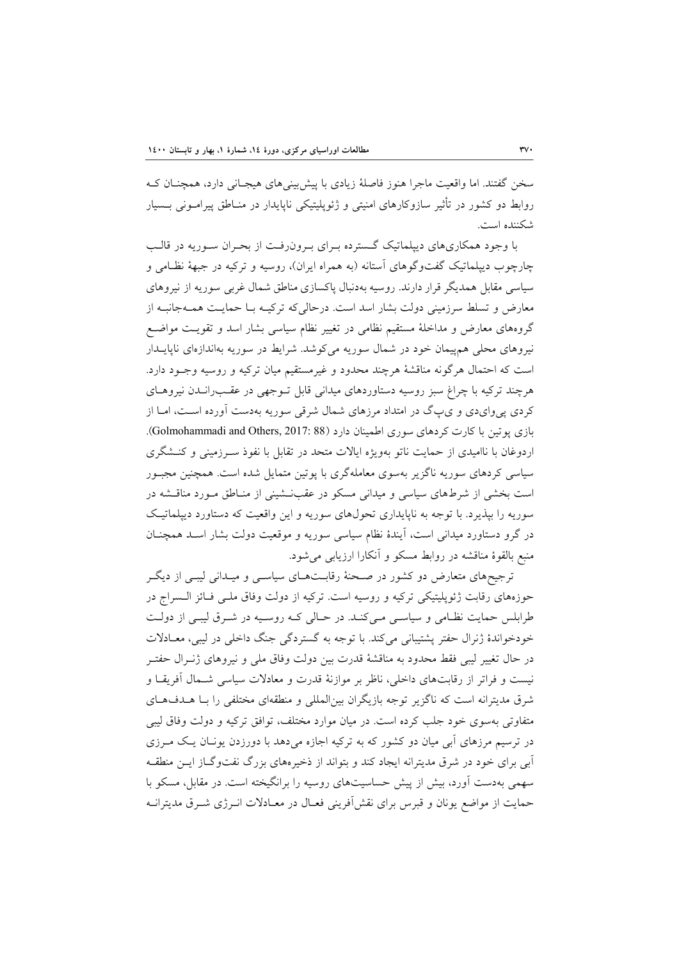سخن گفتند. اما واقعيت ماجرا هنوز فاصلة زيادي با پيشبينيهاي هيجـاني دارد، همچنـان كـه روابط دو كشور در تأثير سازوكارهاي امنيتي و ژئوپليتيكي ناپايدار در منـاطق پيرامـوني بـسيار شكننده است.

با وجود همكاريهاي ديپلماتيك گـسترده بـراي بـرونرفـت از بحـران سـوريه در قالـب چارچوب ديپلماتيك گفتوگوهاي آستانه (به همراه ايران)، روسيه و تركيه در جبهة نظـامي و سياسي مقابل همديگر قرار دارند. روسيه بهدنبال پاكسازي مناطق شمال غربي سوريه از نيروهاي معارض و تسلط سرزميني دولت بشار اسد است. درحاليكه تركيـه بـا حمايـت همـهجانبـه از گروههاي معارض و مداخلة مستقيم نظامي در تغيير نظام سياسي بشار اسد و تقويـت مواضـع نيروهاي محلي همپيمان خود در شمال سوريه ميكوشد. شرايط در سوريه بهاندازهاي ناپايـدار است كه احتمال هرگونه مناقشة هرچند محدود و غيرمستقيم ميان تركيه و روسيه وجـود دارد. هرچند تركيه با چراغ سبز روسيه دستاوردهاي ميداني قابل تـوجهي در عقـبرانـدن نيروهـاي كردي پيوايدي و يپگ در امتداد مرزهاي شمال شرقي سوريه بهدست آورده اسـت، امـا از بازي پوتين با كارت كردهاي سوري اطمينان دارد (88 :Golmohammadi and Others, 2017). اردوغان با نااميدي از حمايت ناتو بهويژه ايالات متحد در تقابل با نفوذ سـرزميني و كنـشگري سياسي كردهاي سوريه ناگزير بهسوي معاملهگري با پوتين متمايل شده است. همچنين مجبـور است بخشي از شرطهاي سياسي و ميداني مسكو در عقبنـشيني از منـاطق مـورد مناقـشه در سوريه را بپذيرد. با توجه به ناپايداري تحولهاي سوريه و اين واقعيت كه دستاورد ديپلماتيـك در گرو دستاورد ميداني است، آيندة نظام سياسي سوريه و موقعيت دولت بشار اسـد همچنـان منبع بالقوة مناقشه در روابط مسكو و آنكارا ارزيابي ميشود.

ترجيحهاي متعارض دو كشور در صـحنة رقابـتهـاي سياسـي و ميـداني ليبـي از ديگـر حوزههاي رقابت ژئوپليتيكي تركيه و روسيه است. تركيه از دولت وفاق ملـي فـائز الـسراج در طرابلس حمايت نظـامي و سياسـي مـيكنـد. در حـالي كـه روسـيه در شـرق ليبـي از دولـت خودخواندة ژنرال حفتر پشتيباني ميكند. با توجه به گستردگي جنگ داخلي در ليبي، معـادلات در حال تغيير ليبي فقط محدود به مناقشة قدرت بين دولت وفاق ملي و نيروهاي ژنـرال حفتـر نيست و فراتر از رقابتهاي داخلي، ناظر بر موازنة قدرت و معادلات سياسي شـمال آفريقـا و شرق مديترانه است كه ناگزير توجه بازيگران بينالمللي و منطقهاي مختلفي را بـا هـدفهـاي متفاوتي بهسوي خود جلب كرده است. در ميان موارد مختلف، توافق تركيه و دولت وفاق ليبي در ترسيم مرزهاي آبي ميان دو كشور كه به تركيه اجازه ميدهد با دورزدن يونـان يـك مـرزي آبي براي خود در شرق مديترانه ايجاد كند و بتواند از ذخيرههاي بزرگ نفتوگـاز ايـن منطقـه سهمي بهدست آورد، بيش از پيش حساسيتهاي روسيه را برانگيخته است. در مقابل، مسكو با حمايت از مواضع يونان و قبرس براي نقشآفريني فعـال در معـادلات انـرژي شـرق مديترانـه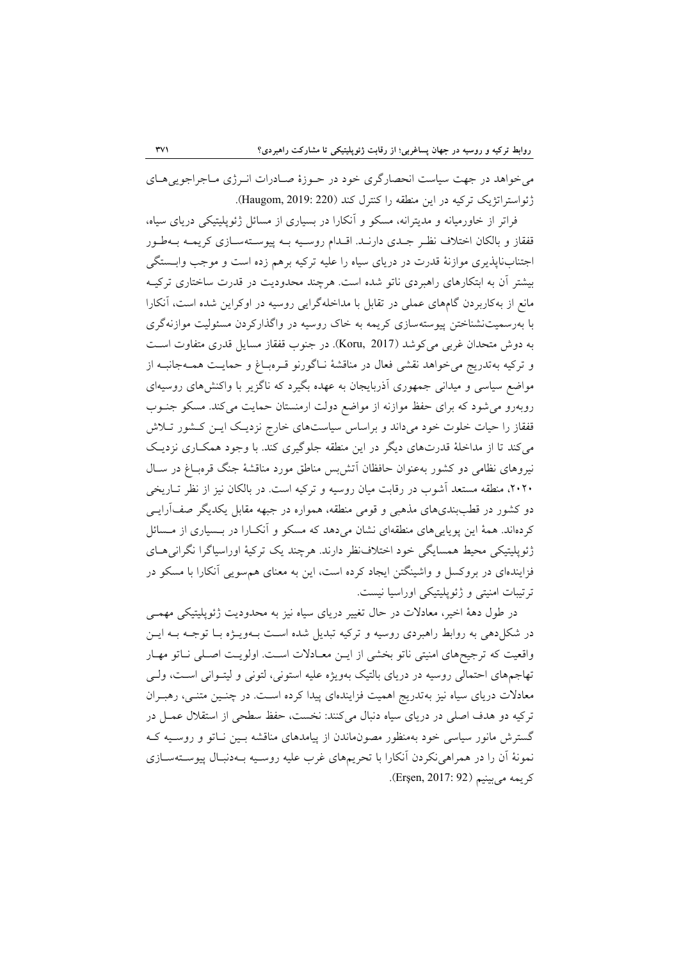ميخواهد در جهت سياست انحصارگري خود در حـوزة صـادرات انـرژي مـاجراجوييهـاي ژئواستراتژيك تركيه در اين منطقه را كنترل كند (220 2019: ,Haugom(.

فراتر از خاورميانه و مديترانه، مسكو و آنكارا در بسياري از مسائل ژئوپليتيكي درياي سياه، قفقاز و بالكان اختلاف نظـر جـدي دارنـد. اقـدام روسـيه بـه پيوسـتهسـازي كريمـه بـهطـور اجتنابناپذيري موازنة قدرت در درياي سياه را عليه تركيه برهم زده است و موجب وابـستگي بيشتر آن به ابتكارهاي راهبردي ناتو شده است. هرچند محدوديت در قدرت ساختاري تركيـه مانع از بهكاربردن گامهاي عملي در تقابل با مداخلهگرايي روسيه در اوكراين شده است، آنكارا با بهرسميتنشناختن پيوستهسازي كريمه به خاك روسيه در واگذاركردن مسئوليت موازنهگري به دوش متحدان غربي ميكوشد (2017 ,Koru(. در جنوب قفقاز مسايل قدري متفاوت اسـت و تركيه بهتدريج ميخواهد نقشي فعال در مناقشة نـاگورنو قـرهبـاغ و حمايـت همـهجانبـه از مواضع سياسي و ميداني جمهوري آذربايجان به عهده بگيرد كه ناگزير با واكنشهاي روسيهاي روبهرو ميشود كه براي حفظ موازنه از مواضع دولت ارمنستان حمايت ميكند. مسكو جنـوب قفقاز را حيات خلوت خود ميداند و براساس سياستهاي خارج نزديـك ايـن كـشور تـلاش ميكند تا از مداخلة قدرتهاي ديگر در اين منطقه جلوگيري كند. با وجود همكـاري نزديـك نيروهاي نظامي دو كشور بهعنوان حافظان آتشبس مناطق مورد مناقشة جنگ قرهبـاغ در سـال ،2020 منطقه مستعد آشوب در رقابت ميان روسيه و تركيه است. در بالكان نيز از نظر تـاريخي دو كشور در قطببنديهاي مذهبي و قومي منطقه، همواره در جبهه مقابل يكديگر صفآرايـي كردهاند. همة اين پوياييهاي منطقهاي نشان ميدهد كه مسكو و آنكـارا در بـسياري از مـسائل ژئوپليتيكي محيط همسايگي خود اختلافنظر دارند. هرچند يك تركية اوراسياگرا نگرانيهـاي فزايندهاي در بروكسل و واشينگتن ايجاد كرده است، اين به معناي همسويي آنكارا با مسكو در ترتيبات امنيتي و ژئوپليتيكي اوراسيا نيست.

در طول دهة اخير، معادلات در حال تغيير درياي سياه نيز به محدوديت ژئوپليتيكي مهمـي در شكلدهي به روابط راهبردي روسيه و تركيه تبديل شده اسـت بـهويـژه بـا توجـه بـه ايـن واقعيت كه ترجيحهاي امنيتي ناتو بخشي از ايـن معـادلات اسـت. اولويـت اصـلي نـاتو مهـار تهاجمهاي احتمالي روسيه در درياي بالتيك بهويژه عليه استوني، لتوني و ليتـواني اسـت، ولـي معادلات درياي سياه نيز بهتدريج اهميت فزايندهاي پيدا كرده اسـت. در چنـين متنـي، رهبـران تركيه دو هدف اصلي در درياي سياه دنبال ميكنند: نخست، حفظ سطحي از استقلال عمـل در گسترش مانور سياسي خود بهمنظور مصونماندن از پيامدهاي مناقشه بـين نـاتو و روسـيه كـه نمونة آن را در همراهينكردن آنكارا با تحريمهاي غرب عليه روسـيه بـهدنبـال پيوسـتهسـازي كريمه مي بينيم (Erşen, 2017: 92).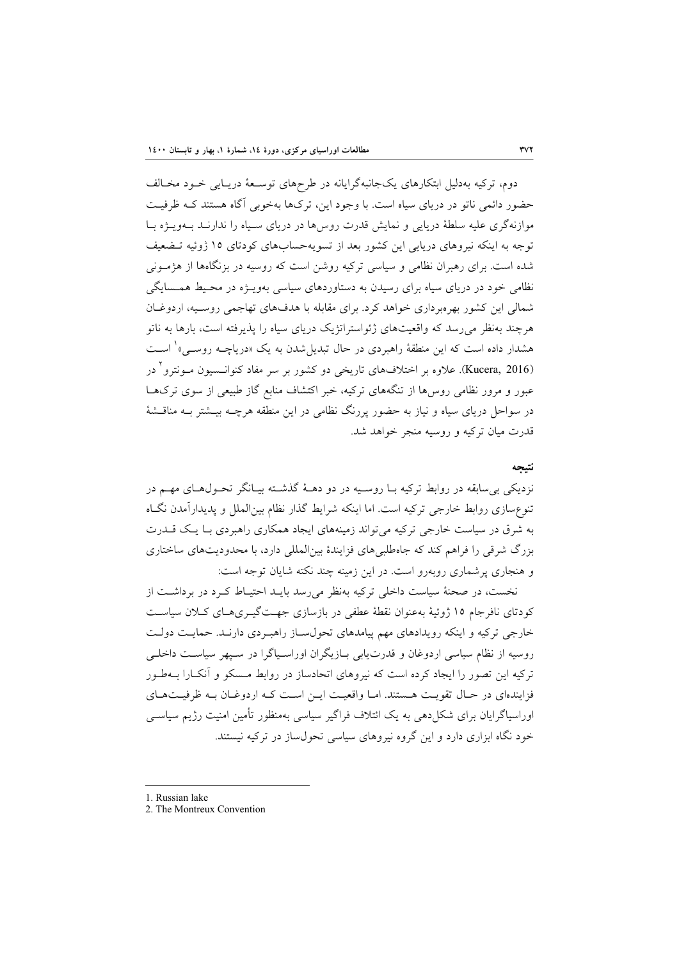دوم، تركيه بهدليل ابتكارهاي يكجانبهگرايانه در طرحهاي توسـعة دريـايي خـود مخـالف حضور دائمي ناتو در درياي سياه است. با وجود اين، تركها بهخوبي آگاه هستند كـه ظرفيـت موازنهگري عليه سلطة دريايي و نمايش قدرت روسها در درياي سـياه را ندارنـد بـهويـژه بـا توجه به اينكه نيروهاي دريايي اين كشور بعد از تسويهحسابهاي كودتاي 15 ژوئيه تـضعيف شده است. براي رهبران نظامي و سياسي تركيه روشن است كه روسيه در بزنگاهها از هژمـوني نظامي خود در درياي سياه براي رسيدن به دستاوردهاي سياسي بهويـژه در محـيط همـسايگي شمالي اين كشور بهرهبرداري خواهد كرد. براي مقابله با هدفهاي تهاجمي روسـيه، اردوغـان هرچند بهنظر ميرسد كه واقعيتهاي ژئواستراتژيك درياي سياه را پذيرفته است، بارها به ناتو هشدار داده است كه اين منطقهٔ راهبردي در حال تبديل شدن به يک «درياچــه روســ<sub>م</sub>» ٰ اســت در <sup>2</sup> (2016 ,Kucera(. علاوه بر اختلافهاي تاريخي دو كشور بر سر مفاد كنوانـسيون مـونترو عبور و مرور نظامي روسها از تنگههاي تركيه، خبر اكتشاف منابع گاز طبيعي از سوي تركهـا در سواحل درياي سياه و نياز به حضور پررنگ نظامي در اين منطقه هرچـه بيـشتر بـه مناقـشة قدرت ميان تركيه و روسيه منجر خواهد شد.

#### **نتيجه**

نزديكي بيسابقه در روابط تركيه بـا روسـيه در دو دهـة گذشـته بيـانگر تحـولهـاي مهـم در تنوعسازي روابط خارجي تركيه است. اما اينكه شرايط گذار نظام بينالملل و پديدارآمدن نگـاه به شرق در سياست خارجي تركيه ميتواند زمينههاي ايجاد همكاري راهبردي بـا يـك قـدرت بزرگ شرقي را فراهم كند كه جاهطلبيهاي فزايندة بينالمللي دارد، با محدوديتهاي ساختاري و هنجاري پرشماري روبهرو است. در اين زمينه چند نكته شايان توجه است:

نخست، در صحنة سياست داخلي تركيه بهنظر ميرسد بايـد احتيـاط كـرد در برداشـت از كودتاي نافرجام 15 ژوئية بهعنوان نقطة عطفي در بازسازي جهـتگيـريهـاي كـلان سياسـت خارجي تركيه و اينكه رويدادهاي مهم پيامدهاي تحولسـاز راهبـردي دارنـد. حمايـت دولـت روسيه از نظام سياسي اردوغان و قدرتيابي بـازيگران اوراسـياگرا در سـپهر سياسـت داخلـي تركيه اين تصور را ايجاد كرده است كه نيروهاي اتحادساز در روابط مـسكو و آنكـارا بـهطـور فزايندهاي در حـال تقويـت هـستند. امـا واقعيـت ايـن اسـت كـه اردوغـان بـه ظرفيـتهـاي اوراسياگرايان براي شكلدهي به يك ائتلاف فراگير سياسي بهمنظور تأمين امنيت رژيم سياسـي خود نگاه ابزاري دارد و اين گروه نيروهاي سياسي تحولساز در تركيه نيستند.

<sup>1.</sup> Russian lake

<sup>2.</sup> The Montreux Convention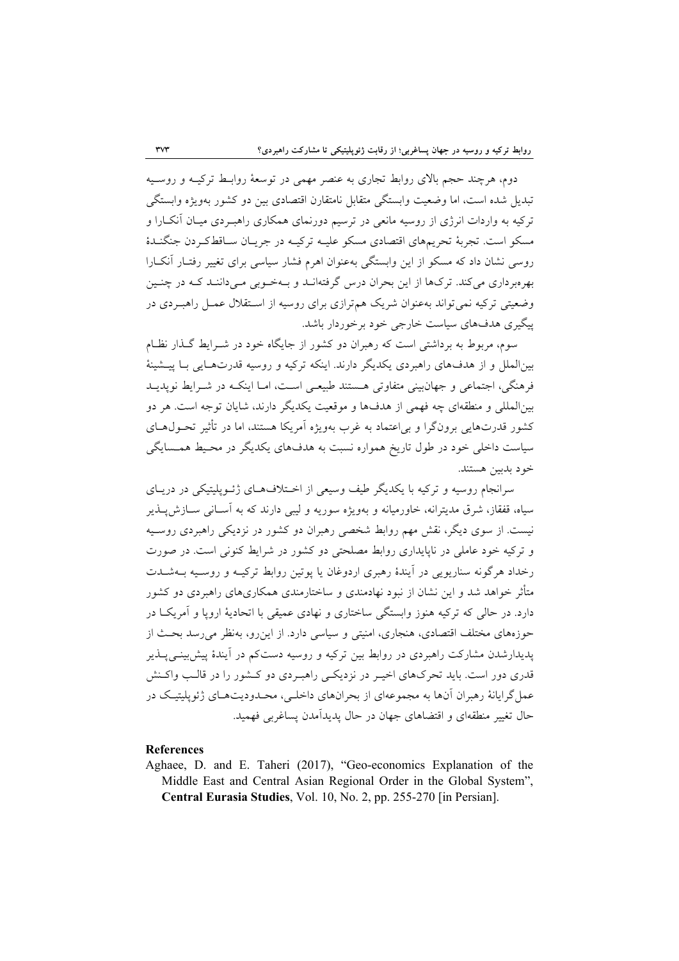دوم، هرچند حجم بالاي روابط تجاري به عنصر مهمي در توسعة روابـط تركيـه و روسـيه تبديل شده است، اما وضعيت وابستگي متقابل نامتقارن اقتصادي بين دو كشور بهويژه وابستگي تركيه به واردات انرژي از روسيه مانعي در ترسيم دورنماي همكاري راهبـردي ميـان آنكـارا و مسكو است. تجربة تحريمهاي اقتصادي مسكو عليـه تركيـه در جريـان سـاقطكـردن جنگنـدة روسي نشان داد كه مسكو از اين وابستگي بهعنوان اهرم فشار سياسي براي تغيير رفتـار آنكـارا بهرهبرداري ميكند. تركها از اين بحران درس گرفتهانـد و بـهخـوبي مـيداننـد كـه در چنـين وضعيتي تركيه نميتواند بهعنوان شريك همترازي براي روسيه از اسـتقلال عمـل راهبـردي در پيگيري هدفهاي سياست خارجي خود برخوردار باشد.

سوم، مربوط به برداشتي است كه رهبران دو كشور از جايگاه خود در شـرايط گـذار نظـام بينالملل و از هدفهاي راهبردي يكديگر دارند. اينكه تركيه و روسيه قدرتهـايي بـا پيـشينة فرهنگي، اجتماعي و جهانبيني متفاوتي هـستند طبيعـي اسـت، امـا اينكـه در شـرايط نوپديـد بينالمللي و منطقهاي چه فهمي از هدفها و موقعيت يكديگر دارند، شايان توجه است. هر دو كشور قدرتهايي برونگرا و بياعتماد به غرب بهويژه آمريكا هستند، اما در تأثير تحـولهـاي سياست داخلي خود در طول تاريخ همواره نسبت به هدفهاي يكديگر در محـيط همـسايگي خود بدبين هستند.

سرانجام روسيه و تركيه با يكديگر طيف وسيعي از اخـتلافهـاي ژئـوپليتيكي در دريـاي سياه، قفقاز، شرق مديترانه، خاورميانه و بهويژه سوريه و ليبي دارند كه به آسـاني سـازشپـذير نيست. از سوي ديگر، نقش مهم روابط شخصي رهبران دو كشور در نزديكي راهبردي روسـيه و تركيه خود عاملي در ناپايداري روابط مصلحتي دو كشور در شرايط كنوني است. در صورت رخداد هرگونه سناريويي در آيندة رهبري اردوغان يا پوتين روابط تركيـه و روسـيه بـهشـدت متأثر خواهد شد و اين نشان از نبود نهادمندي و ساختارمندي همكاريهاي راهبردي دو كشور دارد. در حالي كه تركيه هنوز وابستگي ساختاري و نهادي عميقي با اتحادية اروپا و آمريكـا در حوزههاي مختلف اقتصادي، هنجاري، امنيتي و سياسي دارد. از اينرو، بهنظر ميرسد بحـث از پديدارشدن مشاركت راهبردي در روابط بين تركيه و روسيه دستكم در آيندة پيشبينـيپـذير قدري دور است. بايد تحركهاي اخيـر در نزديكـي راهبـردي دو كـشور را در قالـب واكـنش عملگرايانة رهبران آنها به مجموعهاي از بحرانهاي داخلـي، محـدوديتهـاي ژئوپليتيـك در حال تغيير منطقهاي و اقتضاهاي جهان در حال پديدآمدن پساغربي فهميد.

#### **References**

Aghaee, D. and E. Taheri (2017), "Geo-economics Explanation of the Middle East and Central Asian Regional Order in the Global System", **Central Eurasia Studies**, Vol. 10, No. 2, pp. 255-270 [in Persian].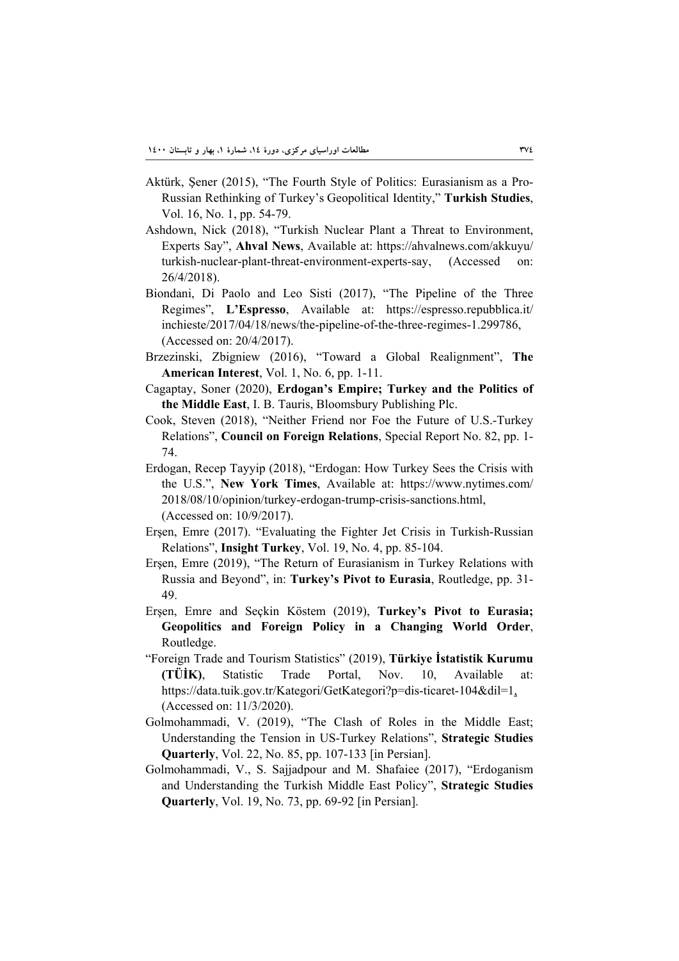- Aktürk, Şener (2015), "The Fourth Style of Politics: Eurasianism as a Pro-Russian Rethinking of Turkey's Geopolitical Identity," **Turkish Studies**, Vol. 16, No. 1, pp. 54-79.
- Ashdown, Nick (2018), "Turkish Nuclear Plant a Threat to Environment, Experts Say", **Ahval News**, Available at: https://ahvalnews.com/akkuyu/ turkish-nuclear-plant-threat-environment-experts-say, (Accessed on: 26/4/2018).
- Biondani, Di Paolo and Leo Sisti (2017), "The Pipeline of the Three Regimes", **L'Espresso**, Available at: https://espresso.repubblica.it/ inchieste/2017/04/18/news/the-pipeline-of-the-three-regimes-1.299786, (Accessed on: 20/4/2017).
- Brzezinski, Zbigniew (2016), "Toward a Global Realignment", **The American Interest**, Vol. 1, No. 6, pp. 1-11.
- Cagaptay, Soner (2020), **Erdogan's Empire; Turkey and the Politics of the Middle East**, I. B. Tauris, Bloomsbury Publishing Plc.
- Cook, Steven (2018), "Neither Friend nor Foe the Future of U.S.-Turkey Relations", **Council on Foreign Relations**, Special Report No. 82, pp. 1- 74.
- Erdogan, Recep Tayyip (2018), "Erdogan: How Turkey Sees the Crisis with the U.S.", **New York Times**, Available at: https://www.nytimes.com/ 2018/08/10/opinion/turkey-erdogan-trump-crisis-sanctions.html, (Accessed on: 10/9/2017).
- Erşen, Emre (2017). "Evaluating the Fighter Jet Crisis in Turkish-Russian Relations", **Insight Turkey**, Vol. 19, No. 4, pp. 85-104.
- Erşen, Emre (2019), "The Return of Eurasianism in Turkey Relations with Russia and Beyond", in: **Turkey's Pivot to Eurasia**, Routledge, pp. 31- 49.
- Erşen, Emre and Seçkin Köstem (2019), **Turkey's Pivot to Eurasia; Geopolitics and Foreign Policy in a Changing World Order**, Routledge.
- "Foreign Trade and Tourism Statistics" (2019), **Türkiye İstatistik Kurumu (TÜİK)**, Statistic Trade Portal, Nov. 10, Available at: https://data.tuik.gov.tr/Kategori/GetKategori?p=dis-ticaret-104&dil=1, (Accessed on: 11/3/2020).
- Golmohammadi, V. (2019), "The Clash of Roles in the Middle East; Understanding the Tension in US-Turkey Relations", **Strategic Studies Quarterly**, Vol. 22, No. 85, pp. 107-133 [in Persian].
- Golmohammadi, V., S. Sajjadpour and M. Shafaiee (2017), "Erdoganism and Understanding the Turkish Middle East Policy", **Strategic Studies Quarterly**, Vol. 19, No. 73, pp. 69-92 [in Persian].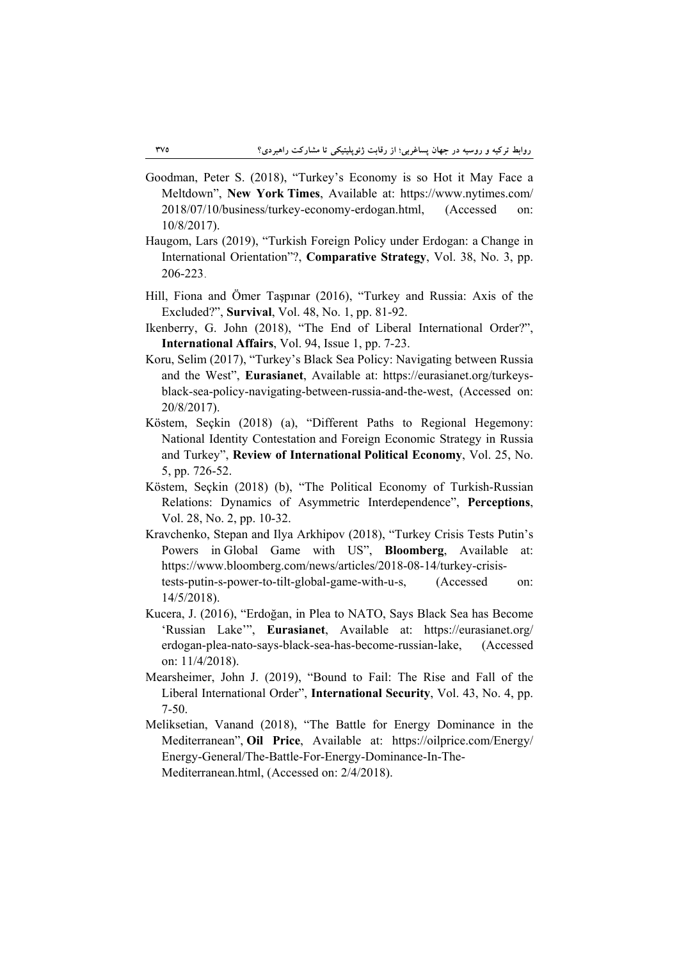- Goodman, Peter S. (2018), "Turkey's Economy is so Hot it May Face a Meltdown", **New York Times**, Available at: https://www.nytimes.com/ 2018/07/10/business/turkey-economy-erdogan.html, (Accessed on: 10/8/2017).
- Haugom, Lars (2019), "Turkish Foreign Policy under Erdogan: a Change in International Orientation"?, **Comparative Strategy**, Vol. 38, No. 3, pp. 206-223.
- Hill, Fiona and Ömer Taşpınar (2016), "Turkey and Russia: Axis of the Excluded?", **Survival**, Vol. 48, No. 1, pp. 81-92.
- Ikenberry, G. John (2018), "The End of Liberal International Order?", **International Affairs**, Vol. 94, Issue 1, pp. 7-23.
- Koru, Selim (2017), "Turkey's Black Sea Policy: Navigating between Russia and the West", **Eurasianet**, Available at: https://eurasianet.org/turkeysblack-sea-policy-navigating-between-russia-and-the-west, (Accessed on: 20/8/2017).
- Köstem, Seçkin (2018) (a), "Different Paths to Regional Hegemony: National Identity Contestation and Foreign Economic Strategy in Russia and Turkey", **Review of International Political Economy**, Vol. 25, No. 5, pp. 726-52.
- Köstem, Seçkin (2018) (b), "The Political Economy of Turkish-Russian Relations: Dynamics of Asymmetric Interdependence", **Perceptions**, Vol. 28, No. 2, pp. 10-32.
- Kravchenko, Stepan and Ilya Arkhipov (2018), "Turkey Crisis Tests Putin's Powers in Global Game with US", **Bloomberg**, Available at: https://www.bloomberg.com/news/articles/2018-08-14/turkey-crisistests-putin-s-power-to-tilt-global-game-with-u-s, (Accessed on: 14/5/2018).
- Kucera, J. (2016), "Erdoğan, in Plea to NATO, Says Black Sea has Become 'Russian Lake'", **Eurasianet**, Available at: https://eurasianet.org/ erdogan-plea-nato-says-black-sea-has-become-russian-lake, (Accessed on: 11/4/2018).
- Mearsheimer, John J. (2019), "Bound to Fail: The Rise and Fall of the Liberal International Order", **International Security**, Vol. 43, No. 4, pp. 7-50.
- Meliksetian, Vanand (2018), "The Battle for Energy Dominance in the Mediterranean", **Oil Price**, Available at: https://oilprice.com/Energy/ Energy-General/The-Battle-For-Energy-Dominance-In-The-Mediterranean.html, (Accessed on: 2/4/2018).